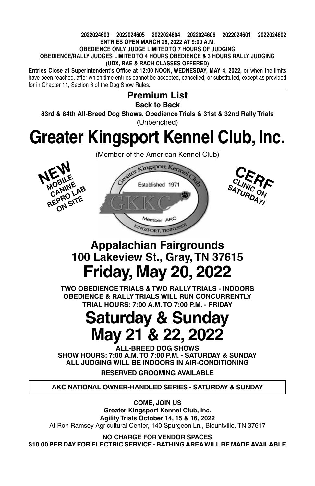#### **2022024603 2022024605 2022024604 2022024606 2022024601 2022024602 ENTRIES OPEN MARCH 28, 2022 AT 9:00 A.M. OBEDIENCE ONLY JUDGE LIMITED TO 7 HOURS OF JUDGING OBEDIENCE/RALLY JUDGES LIMITED TO 4 HOURS OBEDIENCE & 3 HOURS RALLY JUDGING (UDX, RAE & RACH CLASSES OFFERED)**

**Entries Close at Superintendent's Office at 12:00 Noon, WEDNESDAY, MAY 4, 2022,** or when the limits have been reached, after which time entries cannot be accepted, cancelled, or substituted, except as provided for in Chapter 11, Section 6 of the Dog Show Rules.

### **Premium List Back to Back 83rd & 84th All-Breed Dog Shows, Obedience Trials & 31st & 32nd Rally Trials** (Unbenched)

# **Greater Kingsport Kennel Club, Inc.**



(Member of the American Kennel Club)





# **Appalachian Fairgrounds 100 Lakeview St., Gray, TN 37615 Friday, May 20, 2022**

**TWO OBEDIENCE TRIALS & TWO RALLY TRIALS - INDOORS Obedience & Rally Trials will run CONCURRENTLY TRIAL Hours: 7:00 A.M. to 7:00 P.M. - FRIDAY**

# **Saturday & Sunday May 21 & 22, 2022**

**ALL-BREED DOG SHOWS Show Hours: 7:00 A.M. to 7:00 P.M. - SATURDAY & SUNDAY ALL Judging will be Indoors IN AIR-CONDITIONING**

**RESERVED GROOMING AVAILABLE**

**AKC National Owner-Handled Series - SATURDAY & SUNDAY**

**Come, Join Us Greater Kingsport Kennel Club, Inc. Agility Trials October 14, 15 & 16, 2022** At Ron Ramsey Agricultural Center, 140 Spurgeon Ln., Blountville, TN 37617

**No charge for Vendor spaces \$10.00 per day for electric service - BATHING AREA WILL BE MADE AVAILABLE**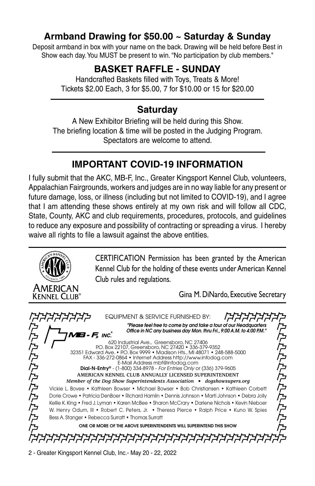## **Armband Drawing for \$50.00 ~ Saturday & Sunday**

Deposit armband in box with your name on the back. Drawing will be held before Best in Show each day. You MUST be present to win. "No participation by club members."

## **BASKET RAFFLE - SUNDAY**

Handcrafted Baskets filled with Toys, Treats & More! Tickets \$2.00 Each, 3 for \$5.00, 7 for \$10.00 or 15 for \$20.00

## **Saturday**

A New Exhibitor Briefing will be held during this Show. The briefing location & time will be posted in the Judging Program. Spectators are welcome to attend.

# **IMPORTANT COVID-19 INFORMATION**

I fully submit that the AKC, MB-F, Inc., Greater Kingsport Kennel Club, volunteers, Appalachian Fairgrounds, workers and judges are in no way liable for any present or future damage, loss, or illness (including but not limited to COVID-19), and I agree that I am attending these shows entirely at my own risk and will follow all CDC, State, County, AKC and club requirements, procedures, protocols, and guidelines to reduce any exposure and possibility of contracting or spreading a virus. I hereby waive all rights to file a lawsuit against the above entities.

> CERTIFICATION Permission has been granted by the American Kennel Club for the holding of these events under American Kennel Club rules and regulations.

> > Gina M. DiNardo, Executive Secretary

Equipment & Service Furnished By: *"Please feel free to come by and take a tour of our Headquarters*  **P.P.P.P.P.P.P.P.P.P.P. P.P.P.P.P.P.P.P.P.P.P.** *Office in NC any business day Mon. thru Fri., 9:00 A.M. to 4:00 P.M."* **- F,** inc. 620 Industrial Ave., Greensboro, NC 27406 P.O. Box 22107, Greensboro, NC 27420 • 336-379-9352 32351 Edward Ave. • P.O. Box 9999 • Madison Hts., MI 48071 • 248-588-5000 FAX - 336-272-0864 • Internet Address http://www.infodog.com E-Mail Address mbf@infodog.com Dial-N-Entry® - (1-800) 334-8978 - *For Entries Only* or (336) 379-9605 **American Kennel Club Annually Licensed Superintendent** *Member of the Dog Show Superintendents Association • dogshowsupers.org* Vickie L. Bovee • Kathleen Bowser • Michael Bowser • Bob Christiansen • Kathleen Corbett Dorie Crowe • Patricia DenBoer • Richard Hamlin • Dennis Johnson • Marti Johnson • Debra Jolly Kellie K. King • Fred J. Lyman • Karen McBee • Sharon McCrary • Darlene Nichols • Kevin Nieboer W. Henry Odum, III • Robert C. Peters, Jr. • Theresa Pierce • Ralph Price • Kuno W. Spies Bess A. Stanger • Rebecca Surratt • Thomas Surratt One Or More Of The Above Superintendents Will Superintend This Show *קרררררררררררררררררררררררררררררררר* 

2 - Greater Kingsport Kennel Club, Inc.- May 20 - 22, 2022

American Kennel Club®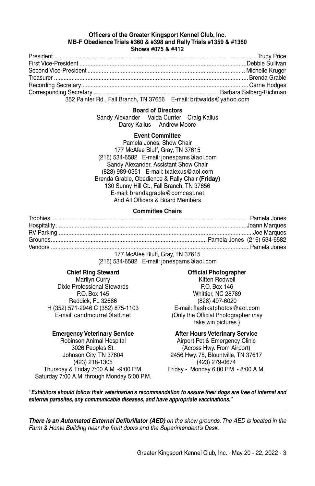#### **Officers of the Greater Kingsport Kennel Club, Inc. MB-F Obedience Trials #360 & #398 and Rally Trials #1359 & #1360 Shows #075 & #412**

| <b>SHOWS #UIS &amp; #414</b> |  |  |  |
|------------------------------|--|--|--|
|                              |  |  |  |

| 352 Painter Rd., Fall Branch, TN 37656 E-mail: britwalds@yahoo.com |  |
|--------------------------------------------------------------------|--|

#### **Board of Directors**

Sandy Alexander Valda Currier Craig Kallus Darcy Kallus Andrew Moore

#### **Event Committee**

Pamela Jones, Show Chair 177 McAfee Bluff, Gray, TN 37615 (216) 534-6582 E-mail: jonespams@aol.com Sandy Alexander, Assistant Show Chair (828) 989-0351 E-mail: txalexus@aol.com Brenda Grable, Obedience & Rally Chair **(Friday)** 130 Sunny Hill Ct., Fall Branch, TN 37656 E-mail: brendagrable@comcast.net And All Officers & Board Members

#### **Committee Chairs**

177 McAfee Bluff, Gray, TN 37615 (216) 534-6582 E-mail: jonespams@aol.com

Dixie Professional Stewards P.O. Box 146 Reddick, FL 32686 (828) 497-6020 H (352) 571-2946 C (352) 875-1103 E-mail: flashkatphotos@aol.com

#### **Emergency Veterinary Service After Hours Veterinary Service**

(423) 218-1305 Thursday & Friday 7:00 A.M. -9:00 P.M. Friday - Monday 6:00 P.M. - 8:00 A.M. Saturday 7:00 A.M. through Monday 5:00 P.M.

#### **Chief Ring Steward Official Photographer**

Marilyn Curry **Kitten Rodwell** P.O. Box 145 Whittier, NC 28789 E-mail: candmcurret@att.net (Only the Official Photographer may take win pictures.)

Robinson Animal Hospital **Airport Pet & Emergency Clinic** Airport Pet & Emergency Clinic 3026 Peoples St. (Across Hwy. From Airport) Johnson City, TN 37604 2456 Hwy. 75, Blountville, TN 37617

*"Exhibitors should follow their veterinarian's recommendation to assure their dogs are free of internal and external parasites, any communicable diseases, and have appropriate vaccinations."*

*There is an Automated External Defibrillator (AED) on the show grounds. The AED is located in the Farm & Home Building near the front doors and the Superintendent's Desk.*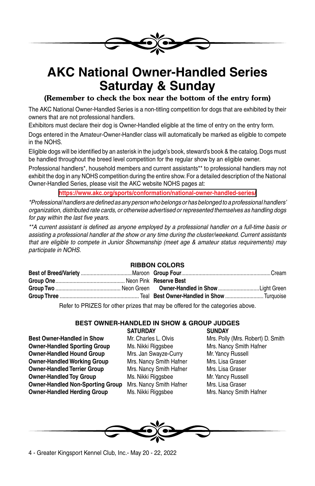

# **AKC National Owner-Handled Series Saturday & Sunday**

### (Remember to check the box near the bottom of the entry form)

The AKC National Owner-Handled Series is a non-titling competition for dogs that are exhibited by their owners that are not professional handlers.

Exhibitors must declare their dog is Owner-Handled eligible at the time of entry on the entry form.

Dogs entered in the Amateur-Owner-Handler class will automatically be marked as eligible to compete in the NOHS.

Eligible dogs will be identified by an asterisk in the judge's book, steward's book & the catalog. Dogs must be handled throughout the breed level competition for the regular show by an eligible owner.

Professional handlers\*, household members and current assistants\*\* to professional handlers may not exhibit the dog in any NOHS competition during the entire show. For a detailed description of the National Owner-Handled Series, please visit the AKC website NOHS pages at:

#### **https://www.akc.org/sports/conformation/national-owner-handled-series/**

*\*Professional handlers are defined as any person who belongs or has belonged to a professional handlers' organization, distributed rate cards, or otherwise advertised or represented themselves as handling dogs for pay within the last five years.*

*\*\*A current assistant is defined as anyone employed by a professional handler on a full-time basis or assisting a professional handler at the show or any time during the cluster/weekend. Current assistants that are eligible to compete in Junior Showmanship (meet age & amateur status requirements) may participate in NOHS.* 

### **RIBBON COLORS**

Refer to PRIZES for other prizes that may be offered for the categories above.

#### **BEST OWNER-HANDLED IN SHOW & GROUP JUDGES SATURDAY SUNDAY**

**Best Owner-Handled in Show Mr. Charles L. Olvis Mrs. Polly (Mrs. Robert) D. Smith Owner-Handled Sporting Group** Ms. Nikki Riggsbee Mrs. Nancy Smith Hafner **Owner-Handled Hound Group** Mrs. Jan Swayze-Curry Mr. Yancy Russell **Owner-Handled Working Group Mrs. Nancy Smith Hafner Mrs. Lisa Graser Owner-Handled Terrier Group** Mrs. Nancy Smith Hafner Mrs. Lisa Graser **Owner-Handled Toy Group** Ms. Nikki Riggsbee Mr. Yancy Russell **Owner-Handled Non-Sporting Group** Mrs. Nancy Smith Hafner Mrs. Lisa Graser **Owner-Handled Herding Group** Ms. Nikki Riggsbee Mrs. Nancy Smith Hafner

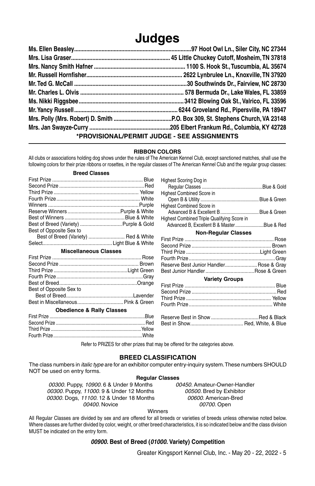# **Judges**

| *PROVISIONAL/PERMIT JUDGE - SEE ASSIGNMENTS |  |  |  |
|---------------------------------------------|--|--|--|

#### **RIBBON COLORS**

All clubs or associations holding dog shows under the rules of The American Kennel Club, except sanctioned matches, shall use the following colors for their prize ribbons or rosettes, in the regular classes of The American Kennel Club and the regular group classes:

Highest Scoring Dog in

#### **Breed Classes**

| Best of Breed (Variety)  Purple & Gold |  |
|----------------------------------------|--|
| Best of Opposite Sex to                |  |
| Best of Breed (Variety)  Red & White   |  |
|                                        |  |
|                                        |  |
| <b>Miscellaneous Classes</b>           |  |
|                                        |  |
|                                        |  |
|                                        |  |
|                                        |  |
|                                        |  |
| Best of Opposite Sex to                |  |
|                                        |  |
|                                        |  |
| <b>Obedience &amp; Rally Classes</b>   |  |

Second Prize ........................................................................ Red Third Prize .........................................................................Yellow Fourth Prize........................................................................White

| <b>HIGHEST OCOTTING DOG III</b>             |  |
|---------------------------------------------|--|
|                                             |  |
| <b>Highest Combined Score in</b>            |  |
|                                             |  |
| <b>Highest Combined Score in</b>            |  |
| Advanced B & Excellent B  Blue & Green      |  |
| Highest Combined Triple Qualifying Score in |  |
| Advanced B, Excellent B & MasterBlue & Red  |  |
| <b>Non-Reaular Classes</b>                  |  |
|                                             |  |
|                                             |  |
|                                             |  |
|                                             |  |
| Reserve Best Junior Handler Rose & Gray     |  |
|                                             |  |

#### **Variety Groups**

Refer to PRIZES for other prizes that may be offered for the categories above.

#### **BREED CLASSIFICATION**

The class numbers in *italic type* are for an exhibitor computer entry-inquiry system. These numbers SHOULD NOT be used on entry forms.

**Regular Classes**

*00300.* Puppy, *10900.* 6 & Under 9 Months *00450.* Amateur-Owner-Handler *00300.* Puppy, *11000.* 9 & Under 12 Months *00500.* Bred by Exhibitor *00300.* Dogs, *11100.* 12 & Under 18 Months *00600.* American-Bred *00400.* Novice *00700.* Open

Winners

All Regular Classes are divided by sex and are offered for all breeds or varieties of breeds unless otherwise noted below. Where classes are further divided by color, weight, or other breed characteristics, it is so indicated below and the class division MUST be indicated on the entry form.

#### *00900.* **Best of Breed (***01000.* **Variety) Competition**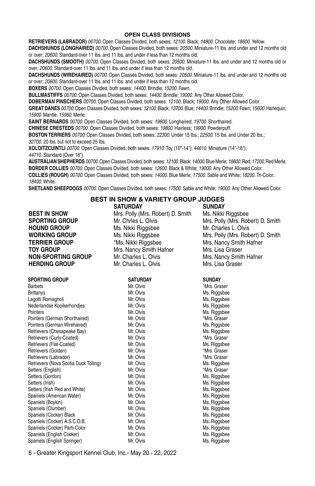#### **OPEN CLASS DIVISIONS**

**Retrievers (Labrador)** *00700.* Open Classes Divided, both sexes: *12100.* Black; *14800.* Chocolate; *18600.* Yellow.

**Dachshunds (Longhaired)** *00700.* Open Classes Divided, both sexes: *20500.* Miniature-11 lbs. and under and 12 months old or over; *20600.* Standard-over 11 lbs. and 11 lbs. and under if less than 12 months old.

**Dachshunds (Smooth)** *00700.* Open Classes Divided, both sexes: *20500.* Miniature-11 lbs. and under and 12 months old or over; *20600.* Standard-over 11 lbs. and 11 lbs. and under if less than 12 months old.

**Dachshunds (Wirehaired)** *00700.* Open Classes Divided, both sexes: *20500.* Miniature-11 lbs. and under and 12 months old or over; *20600.* Standard-over 11 lbs. and 11 lbs. and under if less than 12 months old.

**Boxers** *00700.* Open Classes Divided, both sexes: *14400.* Brindle; *15200.* Fawn.

**Bullmastiffs** *00700.* Open Classes Divided, both sexes: *14400.* Brindle; *19000.* Any Other Allowed Color.

**Doberman Pinschers** *00700.* Open Classes Divided, both sexes: *12100.* Black; *19000.* Any Other Allowed Color.

**Great Danes** *00700.* Open Classes Divided, both sexes: *12100.* Black; *13700.* Blue; *14400.* Brindle; *15200.* Fawn; *15600.* Harlequin; *15900.* Mantle; *15950.* Merle.

**SAINT Bernards** *00700.* Open Classes Divided, both sexes: *19600.* Longhaired; *19700.* Shorthaired.

**CHINESE CRESTEDS** *00700.* Open Classes Divided, both sexes: *19800.* Hairless; *19900.* Powderpuff.

**Boston Terriers** *00700.* Open Classes Divided, both sexes: *22300.* Under 15 lbs.; *22500.* 15 lbs. and Under 20 lbs.; *32700.* 20 lbs. but not to exceed 25 lbs.

**XOLOITZCUINTLI** *00700.* Open Classes Divided, both sexes: *17910.* Toy (10"-14"); *44610.* Miniature (14"-18"); *44710.* Standard (Over 18").

**Australian Shepherds** *00700*. Open Classes Divided, both sexes: *12100.* Black; *14000.* Blue Merle; *16600.* Red; *17200.* Red Merle. **BORDER Collies** *00700.* Open Classes Divided, both sexes: *12600.* Black & White; *19000.* Any Other Allowed Color. **Collies (Rough)** *00700.* Open Classes Divided, both sexes: *14000.* Blue Merle; *17500.* Sable and White; *18200.* Tri-Color; *18400.* White.

**Shetland Sheepdogs** *00700.* Open Classes Divided, both sexes: *17500.* Sable and White; *19000.* Any Other Allowed Color.

#### **BEST IN SHOW & VARIETY GROUP JUDGES SATURDAY SUNDAY**

**BEST IN SHOW** Mrs. Polly (Mrs. Robert) D. Smith Ms. Nikki Riggsbee **SPORTING GROUP** Mr. Chries L. Olvis Mrs. Polly (Mrs. Robert) D. Smith **HOUND GROUP** Ms. Nikki Riggsbee Mr. Charles L. Olvis **WORKING GROUP** Ms. Nikki Riggsbee Mrs. Polly (Mrs. Robert) D. Smith **TERRIER GROUP** \*Ms. Nikki Riggsbee Mrs. Nancy Smith Hafner **TOY GROUP** Mrs. Nancy Smith Hafner Mrs. Lisa Graser **NON-SPORTING GROUP** Mr. Charles L. Olvis Mrs. Nancy Smith Hafner **HERDING GROUP** Mr. Charles L. Olvis Mrs. Lisa Graser

**SPORTING GROUP SATURDAY SUNDAY** Barbets **Mr. Olvis** Mr. Olvis **Mr. Olvis Mr. Olvis Mr. Graser** Brittanys **Mr. Olyis** Mr. Olyis Ms. Riggsbee Lagotti Romagnoli Mr. Olvis Ms. Riggsbee Nederlandse Kooikerhondies Pointers Mr. Olvis Mr. Olvis Ms. Riggsbee Pointers (German Shorthaired) Mr. Olvis **Mr. Olymont Communist Communist** Mrs. Graser Pointers (German Wirehaired) Mr. Olvis Ms. Riggsbee Retrievers (Chesapeake Bay) Mr. Olvis Ms. Riggsbee Retrievers (Curly-Coated) **Mr. States and Communist Coated** Mr. Olvis **\*Mrs. Graser** Mrs. Riggsbee<br>
Mr. Olvis Mr. Olvis Mr. Olvis Mr. Olvis Mr. Olvis Mr. Piggsbee Retrievers (Flat-Coated) Retrievers (Golden) **Mr.** Olvis **Mr. Olvis** \*Mrs. Graser Retrievers (Labrador) and Mr. Olvis Mr. Olvis \*Mrs. Graser Retrievers (Nova Scotia Duck Tolling) Mr. Olvis Ms. Riggsbee<br>Setters (English) Mr. Olvis Mr. Olvis Mr. Graser Setters (English) Setters (Gordon) and Mr. Olvis Mr. Olvis Ms. Riggsbee<br>Setters (Irish) Setters (Irish) Mr. Olvis Mr. Olvis Ms. Riggsbee Setters (Irish Red and White) Mr. Olvis Ms. Riggsbee Spaniels (American Water) **Mr. Olvis Mr. Olvis** Ms. Riggsbee<br>Spaniels (Boykin) Mr. Olvis Mr. Olvis Ms. Riggsbee Spaniels (Boykin) Spaniels (Clumber) **Mr.** Olvis Mr. Olvis Ms. Riggsbee Spaniels (Cocker) Black Mr. Olvis Mr. Olvis Ms. Riggsbee Spaniels (Cocker) A.S.C.O.B. Mr. Olvis Mr. Olvis Ms. Riggsbee Spaniels (Cocker) Parti-Color **Mr. Accords Mr. Olvis Convention Cocker**) Ms. Riggsbee<br>Spaniels (English Cocker) Mr. Olvis Mr. Olvis Mr. Olvis Ms. Riggsbee Spaniels (English Cocker) Spaniels (English Springer) Mr. Olvis Mr. Olvis Ms. Riggsbee

| SATURDAY  | SUNDAY       |
|-----------|--------------|
| Mr. Olvis | *Mrs. Graser |
| Mr. Olvis | Ms. Riggsbee |
| Mr. Olvis | Ms. Riggsbee |
| Mr. Olvis | Ms. Riggsbee |
| Mr. Olvis | Ms. Riggsbee |
| Mr. Olvis | *Mrs. Graser |
| Mr. Olvis | Ms. Riggsbee |
| Mr. Olvis | Ms. Riggsbee |
| Mr. Olvis | *Mrs. Graser |
| Mr. Olvis | Ms. Riggsbee |
| Mr. Olvis | *Mrs. Graser |
| Mr. Olvis | *Mrs. Graser |
| Mr. Olvis | Ms. Riggsbee |
| Mr. Olvis | *Mrs. Graser |
| Mr. Olvis | Ms. Riggsbee |
| Mr. Olvis | Ms. Riggsbee |
| Mr. Olvis | Ms. Riggsbee |
| Mr. Olvis | Ms. Riggsbee |
| Mr. Olvis | Ms. Riggsbee |
| Mr. Olvis | Ms. Riggsbee |
| Mr. Olvis | Ms. Riggsbee |
| Mr. Olvis | Ms. Riggsbee |
| Mr. Olvis | Ms. Riggsbee |
| Mr. Olvis | Ms. Riggsbee |
| Mr. Olvis | Ms. Riggsbee |
|           |              |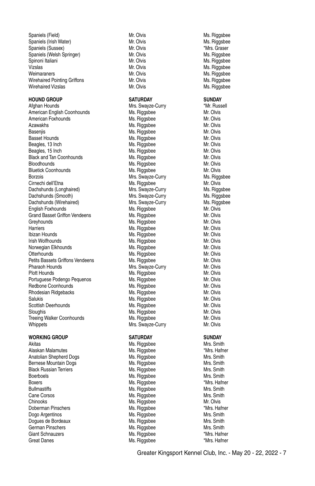Spaniels (Field) **Mr. Olvis Mr. Olvis Mr. School Australia**<br>Spaniels (Irish Water) Mr. Olvis Mr. Olvis Mr. Sliggsbee Spaniels (Irish Water) **Mr. Show Mr. Olvis Mr. Alian Mr. Alian Mr. Alian Mr. Alian Mr. Alian Mr. Alian Mr. Olvis**<br>Spaniels (Sussex) Spaniels Mr. Olvis Mr. Olvis Mr. Olvis Mrs. Graser Spaniels (Sussex) Mr. Olvis<br>Spaniels (Welsh Springer) Mr. Olvis Spaniels (Welsh Springer) Mr. Olvis Ms. Riggsbee Vizslas Mr. Olvis Mr. Olvis Ms. Riggsbee Weimaraners Mr. Olvis Mr. Olvis Mr. Olvis Ms. Riggsbee<br>19 Microbianus Mr. Olvis Mr. Olvis Ms. Riggsbee Wirehaired Pointing Griffons<br>
Wirehaired Vizslas<br>
Mr. Olvis

#### **HOUND GROUP SATURDAY SUNDAY**

Afghan Hounds **Mrs.** Swayze-Curry **\*Mr. Russell** American English Coonhounds Ms. Riggsbee Ms. American English Coonhounds American Foxhounds Ms. Riggsbee Mr. Olvis Basenjis Ms. Riggsbee Ms. Riggsbee Basset Hounds **Mr. Olympan Area** Mr. Olympan Mr. Olympan Mr. Olympan Mr. Olympan Mr. Olympan Mr. Olympan Mr. Olympan Mr. Olympan Mr. Olympan Mr. Olympan Mr. Olympan Mr. Olympan Mr. Olympan Mr. Olympan Mr. Olympan Mr. Olymp Beagles, 13 Inch Mus. Riggsbee Mr. Olvis Mus. Riggsbee Mr. Olvis Mr. Olvis Mus. Riggsbee Mr. Olvis Mus. Riggsbee Mr. Olvis Mus. All and Mus. All and Mus. Riggsbee Mus. All and Mus. All and Mus. All and Mus. All and Mus. Al Beagles, 15 Inch Ms. Riggsbee Mr. Olvis<br>Black and Tan Coonhounds Ms. Riggsbee Mr. Olvis Black and Tan Coonhounds Bloodhounds Ms. Riggsbee Mr. Olvis Bluetick Coonhounds Ms. Riggsbee Mr. Olvis Borzois **Mrs.** Swayze-Curry Mrs. Swayze-Curry Mrs. Riggsbee Cirnechi dell'Etna Ms. Riggsbee Mus. Riggsbee Mr. Olvis Mic Olvis (Mr. Olvis Mus. Riggsbee Mus. Riggsbee Mus. Riggsbee Mus. Riggsbee Mus. Riggsbee Mus. Riggsbee Mus. Riggsbee Mus. Riggsbee Mus. Riggsbee Mus. Riggsbee Mus. Dachshunds (Longhaired) Mrs. Swayze-Curry Ms. Riggsbee Dachshunds (Smooth) **Mrs. Swayze-Curry Mrs. Algebra** Ms. Riggsbee Dachshunds (Wirehaired) Mrs. Swayze-Curry Mrs. Swayze-Curry Ms. Riggsbee English Foxhounds Ms. Riggsbee Mr. Olvis Grand Basset Griffon Vendeens Ms. Riggsbee Mr. Olvis<br>Greyhounds Mr. Olvis Ms. Riggsbee Ms. Olvis Harriers Ms. Riggsbee Mr. Olvis Mr. Olvis (Mr. Olvis Mr. Olvis Mr. Olvis Mr. Olvis Mr. Olvis Mr. Olvis Mr. Olv<br>Ms. Riggsbee Mr. Olvis Mr. Olvis Mr. Olvis Mr. Olvis Mr. Olvis Mr. Olvis Mr. Olvis Mr. Olvis Mr. Olvis Mr. Ol Ibizan Hounds **Ms. Riggsbee** Ms. Riggsbee Irish Wolfhounds **Ms. Riggsbee** Mr. Olvis Norwegian Elkhounds **Michael Ms. Riggsbee Michael Michael Michael Michael Michael Michael Michael Michael Michael Michael Michael Michael Michael Michael Michael Michael Michael Michael Michael Michael Michael Michael Mich** Petits Bassets Griffons Vendeens Ms. Riggsbee<br>Pharaoh Hounds Mrs. Swavze-C Pharaoh Hounds **Mrs. Swayze-Curry Mrs. Swayze-Curry** Mr. Olvis<br>Plott Hounds Mrs. Riggsbee Mrs. Olvis Portuguese Podengo Pequenos **Ms. Riggsbee Micholas Communist** Ms. Riggsbee Mr. Olvis<br>Redbone Coonhounds Ms. Riggsbee Ms. Riggsbee Mr. Olvis Redbone Coonhounds<br>
Rhodesian Ridgebacks<br>
Ms. Riggsbee Rhodesian Ridgebacks Ms. Riggsbee Ms. Riggsbee Salukis Ms. Riggsbee Maximum Ms. Riggsbee Mr. Olvis<br>Scottish Deerhounds Ms. Riggsbee Ms. Riggsbee Mr. Olvis Scottish Deerhounds<br>Sloughis Ms. Riggsbee Mix Deep Mr. Olvis<br>Ms. Riggsbee Mix Deep Mr. Olvis Sloughis Mr. Olvis<br>Treeing Walker Coonhounds Mr. All Mr. All Mr. Olvis Mr. Olvis Mr. Olvis Treeing Walker Coonhounds Whippets Mrs. Swayze-Curry Mrs. Swayze-Curry Mr. Olvis

#### **WORKING GROUP SATURDAY SUNDAY**

Akitas Mrs. Smith Mislam Musculinus (Mrs. And Mrs. Smith Mrs. Smith<br>Alaskan Malamutes Mislam Musculinus (Mrs. Hamer Mrs. Hafner Alaskan Malamutes Anatolian Shepherd Dogs **Mrs. Riggsbee** Mrs. Smith Mrs. Smith Bernese Mountain Dogs Ms. Riggsbee Mrs. Smith Black Russian Terriers **Michael State Communist Communist Communist Communist Communist Communist Communist Communist Communist Communist Communist Communist Communist Communist Communist Communist Communist Communist Comm** Boerboels Ms. Riggsbee Mrs. Smith Bullmastiffs **Ms. Riggsbee** Mrs. Smith Cane Corsos **Ms. Riggsbee Mrs. Smith Ms. Riggsbee** Mrs. Smith Chinooks Ms. Riggsbee Mr. Olvis Doberman Pinschers **Machines (St. 2008)** Ms. Riggsbee **1988** Mrs. Hafner<br>Dogo Argentinos Machines Ms. Riggsbee Mrs. Smith Dogo Argentinos **Ms. Riggsbee** Dogues de Bordeaux Ms. Riggsbee Mrs. Smith German Pinschers **Michael Mrs. Smith** Mrs. Smith Giant Schnauzers **Mrs. Riggsbee** \*Mrs. Hafner Great Danes **Mrs. Riggsbee Mrs. All and Mrs. All and Mrs. All and Mrs. All and Mrs. Hafner** 

Ms. Riggsbee Ms. Riggsbee Ms. Riggsbee Mr. Olvis<br>Ms. Riggsbee Mr. Olvis **Ms. Riggsbee Mr. Olvis** 

Ms. Riggsbee

Ms. Riggsbee Ms. Riggsbee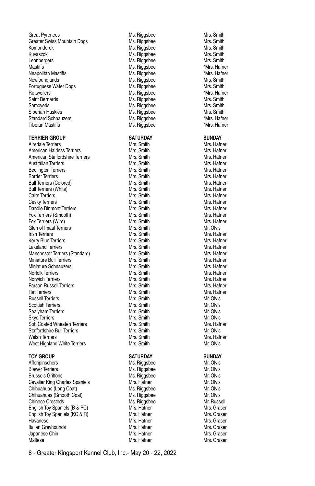Great Pyrenees **Mrs. Smith School School School Assaure**<br>Greater Swiss Mountain Dogs **Mrs. Smith Mrs. Smith Mrs. Smith** Greater Swiss Mountain Dogs **Mrs. Riggsbee Mrs. Smith Mrs. Smith Mrs. Smith Mrs. Smith Mrs. Smith Mrs. Smith Mrs. Smith Mrs. Smith Mrs. Smith Mrs. Smith Mrs. Smith Mrs. Smith Mrs. Smith Mrs. Smith Mrs. Smith Mrs. Smith Mrs** Kuvaszok Ms. Riggsbee Mrs. Smith Leonbergers Ms. Riggsbee Mrs. Smith Mastiffs Mastiffs Mus. Riggsbee **Mastiffs** Mus. Riggsbee **\*Mrs. Hafner** Neapolitan Mastiffs **Master Communist Master Mest Accommunist Master Mest Accommunist Master Communist Mest Accommunist Mest Accommunist Mest Smith<br>Miss. Smith** Portuguese Water Dogs **Michael Michael Michael Michael Michael Michael Michael Michael Michael Michael Mrs. Smith**<br>Michael Michael Michael Michael Michael Michael Michael Michael Michael Michael Michael Michael Michael Mic Rottweilers **Ms. Riggsbee** Saint Bernards **Ms.** Riggsbee Mrs. Smith Samoyeds Mrs. Smith<br>Siberian Huskies Mrs. Smith Mrs. Smith Mrs. Smith Mrs. Smith Mrs. Smith Siberian Huskies Standard Schnauzers **Mrs. Biographic Mus. Riggsbee** \* Mrs. Hafner Tibetan Mastiffs **Music Contract Contract Contract Contract Contract Contract Contract Contract Contract Contract Contract Contract Contract Contract Contract Contract Contract Contract Contract Contract Contract Contract** 

#### **TERRIER GROUP SATURDAY SUNDAY**

Airedale Terriers **Mrs. Smith Mrs. Smith** Mrs. Smith Mrs. Hafner American Hairless Terriers **Mrs. Smith Mrs. Smith** Mrs. Hafner American Staffordshire Terriers **Mrs. Smith Mrs. Smith** Mrs. Hafner Australian Terriers **Mrs. Smith Mrs. Smith** Mrs. Smith Mrs. Hafner Bedlington Terriers Mrs. Smith Mrs. Hafner Border Terriers (Colored) The Control of Mrs. Smith Mrs. Mars. Hafner Mrs. Hafner Mrs. Hafner Mrs. Hafner (Mrs. Hafner Mrs. Hafner Mrs. Hafner Mrs. Hafner Mrs. Hafner Mrs. Hafner Mrs. Hafner Mrs. Hafner Mrs. Hafner Mrs. Ha Bull Terriers (Colored) Bull Terriers (White) **Mrs. Smith Mrs. Smith** Mrs. Smith Mrs. Hafner Cairn Terriers **Mrs. Smith Mrs. Smith** Mrs. Smith Mrs. Hafner Cesky Terriers Mrs. Smith Mrs. Hafner Dandie Dinmont Terriers **Mrs. Smith Mrs. Smith Mrs. Hafner**<br>Fox Terriers (Smooth) Mrs National Mrs Smith Mrs Hafner Fox Terriers (Smooth) Fox Terriers (Wire) **Fox** Terriers (Wire) **Mrs. Smith Mrs. Smith Mrs. Hafner** Mrs. Hafner Glen of Imaal Terriers Glen of Imaal Terriers Mrs. Smith Mr. Olvis Irish Terriers Kerry Blue Terriers **Mrs. Smith Mrs. Smith** Mrs. Smith Mrs. Hafner Lakeland Terriers Mrs. Smith Mrs. Hafner Manchester Terriers (Standard) Mrs. Smith Mrs. Hafner Miniature Bull Terriers (Standard) Mrs. Smith Mrs. Hafner Miniature Bull Terriers **Miniature Bull Terriers Miniature Schnauzers Miniature Schnauzers Miniature Schnauzers**<br>Miniature Schnauzers Miniature Miniature Schnauzers Miniature Schnauzers Miniature Schnauzers Miniature Minia Miniature Schnauzers Norfolk Terriers **Mrs. Smith** Mrs. Smith Mrs. Hafner Norwich Terriers **Mrs. Smith Mrs. Smith** Mrs. Smith Mrs. Hafner Parson Russell Terriers **Mrs. Smith Mrs. Smith** Mrs. Smith Mrs. Hafner Rat Terriers Mrs. Smith Mrs. Hafner Russell Terriers **Mrs. Smith** Mrs. Smith Mrs. Smith Mr. Olvis Scottish Terriers **Mrs.** Smith Mrs. Smith Mrs. Smith Mr. Olvis Sealyham Terriers **Mrs.** Smith Mrs. Smith Mrs. Smith Mr. Olyis Skye Terriers Mrs. Smith Mrs. Smith Mrs. Smith Mrs. Smith Mrs. Smith Mrs. Smith Mrs. Hafner<br>Soft Coated Wheaten Terriers Mrs. Smith Mrs. Smith Mrs. Mather Soft Coated Wheaten Terriers **Mrs. Smith Mrs. Smith Mrs. Haft**<br>Staffordshire Bull Terriers **Mrs. Smith Mrs. Smith** Mr. Olvis Staffordshire Bull Terriers Mrs. Smith Welsh Terriers **Mrs. Smith Mrs. Smith** Mrs. Smith Mrs. Hafner West Highland White Terriers Mrs. Smith Mrs. Smith Mrs. Olyis

#### **TOY GROUP SATURDAY SUNDAY**

Affenpinschers **Michael Michael Michael Michael Michael Michael Michael Michael Michael Michael Michael Michael Michael Michael Michael Michael Michael Michael Michael Michael Michael Michael Michael Michael Michael Michae** Biewer Terriers Ms. Riggsbee Mr. Olvis Brussels Griffons Ms. Riggsbee Cavalier King Charles Spaniels Mrs. Hafner Mrs. Hafner Mr. Olvis Chihuahuas (Long Coat) **Ms. Riggsbee** Mr. Olvis Chihuahuas (Smooth Coat) **Ms. Riggsbee** Mr. Olvis Chinese Cresteds Ms. Riggsbee Mr. Russell English Toy Spaniels (B & PC) Mrs. Hafner Mrs. Hafner Mrs. Graser English Toy Spaniels (KC & R) Mrs. Hafner Mrs. Hafner Mrs. Graser Havanese Mrs. Hafner Mrs. Hafner Mrs. Graser<br>Halian Greyhounds Mrs. Hafner Mrs. Hafner Mrs. Graser Italian Greyhounds Mrs. Hafner Mrs. Graser Japanese Chin<br>Maltese Maltese Mrs. Hamer Mrs. Hatner Mrs. Hamer Mrs. Graser

Ms. Riggsbee Ms. Riggsbee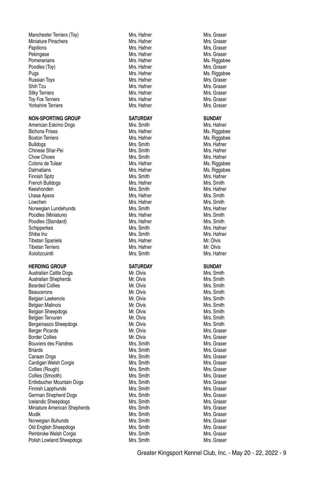Miniature Pinschers (Miniature Pinschers Miniature Pinschers Miniature Pinschers Miniature Pinschers Miniature<br>Miniature Ministers (Ministers Ministers Ministers Ministers Ministers Ministers Ministers Ministers Minister<br>M Papillons Mrs. Hafner Mrs. Graser Pekingese Mrs. Hafner Mrs. Graser Pomeranians **Mrs. Hafner** Mrs. Hafner Mrs. Hafner Mrs. Riggsbee Poodles (Toy) **Mrs. Hafner** Mrs. Hafner Mrs. Graser Mrs. Graser Pugs in the Mrs. Hafner Mrs. Hafner Ms. Riggsbee<br>Pussian Tovs Mrs. Hafner Mrs. Hafner Mrs. Graser Russian Toys. Shih Tzu Mrs. Hafner Mrs. Graser Silky Terriers (Silky Terriers Mrs. Hafner Mrs. Graser Mrs. Graser Mrs. Graser<br>1999 - Tov Fox Terriers (Silky School Mrs. Hafner Mrs. Graser Mrs. Graser Tov Fox Terriers Yorkshire Terriers Mrs. Hafner Mrs. Graser

Bichons Frises **Mrs. Hafner** Mrs. Hafner Mrs. Hafner Mrs. Riggsbee Boston Terriers and the Mrs. Hamer Manusculine and Mrs. Hamer Ms. Riggsbee<br>Bulldogs Mrs. Smith Mrs. Smith Mrs. And Mrs. Hafner Bulldogs Mrs. Smith Mrs. Hafner Chinese Shar-Pei **Mrs. Smith Mrs. Smith** Mrs. Smith Mrs. Hafner Chow Chows **Mrs.** Smith Mrs. Smith Mrs. Hafner Cotons de Tulear **Mrs. Hafner** Mrs. Hafner Mrs. Hafner Mrs. And Mrs. Hafner Mrs. And Mrs. And Mrs. And Mrs. And Mrs. And Mrs. And Mrs. And Mrs. And Mrs. And Mrs. And Mrs. And Mrs. And Mrs. And Mrs. And Mrs. And Mrs. And Mr Dalmatians **Maximum Communist Communist Maximum Maximum Ms. Additional Microsoft Ms. Additional Mrs. Hafner** Mrs. Hafner Finnish Spitz Mrs. Smith Mrs. Hafner French Bulldogs **Mrs. Hafner** Mrs. Hafner Mrs. Smith Mrs. Smith Mrs. Smith Mrs. Smith Mrs. Smith Mrs. Smith Mrs. Smith Mrs. Smith Mrs. Hafner Keeshonden Mrs. Smith Mrs. Hafner Lhasa Apsos Mrs. Hafner Lowchen Mrs. Hafner Mrs. Hafner Mrs. Smith Mrs. Smith Mrs. Smith Mrs. Smith Mrs. Smith Mrs. Smith Mrs. Smith Mrs. Smith Mrs. Smith Mrs. Smith Mrs. Smith Mrs. Smith Mrs. Smith Mrs. Hafner Norwegian Lundehunds<br>
Poodles (Miniature) Mrs Hamer Mrs Hafner<br>
Mrs Hafner Mrs Smith Mrs Smith Poodles (Miniature) **Mrs. Smith** Mrs. Hafner Mrs. Smith Mrs. Smith Poodles (Standard) **Mrs. Smith** Mrs Smith Poodles (Standard) Mrs. Hafner Mrs. Hafner Mrs. Smith Schipperkes Mrs. Smith Mrs. Hafner Shiba Inu Mrs. Smith Mrs. Smith Mrs. Smith Mrs. Hafner Tibetan Spaniels **Mrs. Hafner** Mrs. Hafner Mr. Olvis Tibetan Terriers **Mrs. Hafner** Mrs. Hafner Mrs. Hafner Mrs. Olvis<br>The Mrs. Hafner Mrs. Smith Mrs. Smith Mrs. Hafner

Australian Shepherds<br>
Rearded Collies Mr. Olvis **Bearded Collies Collies Collies Mr. Clubs.** Mr. Olvis Mrs. Smith Beaucerons Mr. Olvis Mrs. Smith Belgian Laekenois **Mr.** Olvis Mr. Olvis Mrs. Smith Belgian Malinois **Mr.** Olvis Mr. Olvis Mrs. Smith Belgian Sheepdogs **Mr.** Olvis Mr. Olvis Mrs. Smith Belgian Tervuren Music Communistic Communistic Mrs. Smith Mrs. Smith Mrs. Smith Mrs. Smith Mrs. Smith Mrs. Smith<br>Bergamasco Sheepdogs Mrs Mrs. Smith Mrs. Smith Mrs. Smith Mrs. Smith Mrs. Smith Mrs. Smith Mrs. Smith Mrs. Sm Bergamasco Sheepdogs Mr. Olvis Mrs. Smith Berger Picards Border Collies **Mr. Olvis Mr. Olvis Mr. Olvis** Mrs. Graser Bouviers des Flandres **Mrs. Smith Mrs. Smith** Mrs. Graser Mrs. Graser Briards Mrs. Smith Mrs. Smith Mrs. Graser Mrs. Graser Canaan Dogs **Mrs. Smith** Mrs. Smith Mrs. Graser Mrs. Graser Cardigan Welsh Corgis **Mrs.** Smith Mrs. Smith Mrs. Graser Collies (Rough) Mrs. Smith Mrs. Graser Collies (Smooth) Mrs. Smith Entlebucher Mountain Dogs Mrs. Smith Mrs. Smith Mrs. Graser Finnish Lapphunds **Mrs.** Smith Mrs. Smith Mrs. Graser German Shepherd Dogs **Mrs. Smith Mrs. Smith** Mrs. Graser **Icelandic Sheepdogs** Mrs. Smith Mrs. Smith Mrs. Graser Miniature American Shepherds **Mrs. Smith Mrs. Smith Mrs. Smith Mrs. Graser** Mrs. Graser<br>Mudik Mrs. Graser Mudik Mis. Smith Mrs. Smith Mis. Smith Mrs. Graser<br>Morwegian Buhunds Mis. Graser Mis. Smith Mrs. Graser Norwegian Buhunds<br>
Mrs. Graser Mrs. Graser Mrs. Smith Mrs. Smith Mrs. Graser<br>
Mrs. Graser Mrs. Smith Mrs. Smith Mrs. Graser Old English Sheepdogs Mrs. Smith Mrs. Graser Pembroke Welsh Corgis **Mrs. Smith Mrs. Smith Polish I owland Sheepdogs** Mrs. Smith Mrs. Smith Polish Lowland Sheepdogs **Mrs. Smith** Mrs. Smith Mrs. Graser

Manchester Terriers (Toy) **Mrs. Hafner** Mrs. Hafner Mrs. Graser Mrs. Graser<br>Miniature Pinschers Mrs. Graser Mrs. Hafner Mrs. Graser **NON-SPORTING GROUP SATURDAY SUNDAY** American Eskimo Dogs **Mrs. Smith Mrs. Smith** Mrs. Smith Mrs. Hafner Xoloitzcuintli Mrs. Smith Mrs. Hafner **HERDING GROUP SATURDAY SATURDAY SUNDAY Australian Cattle Dogs SUNDAY Mr. Olvis Mr. Smith** Australian Cattle Dogs<br>
Australian Shenherds<br>
Mr. Olvis Mrs. Smith Mr. Olvis Mrs. Smith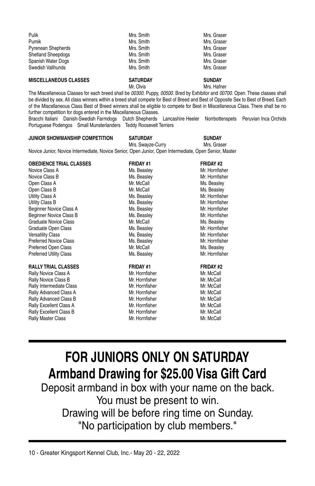| Pulik                     | Mrs. Smith | Mrs. Graser |
|---------------------------|------------|-------------|
| Pumik                     | Mrs. Smith | Mrs. Graser |
| <b>Pyrenean Shepherds</b> | Mrs. Smith | Mrs. Graser |
| <b>Shetland Sheepdogs</b> | Mrs. Smith | Mrs. Graser |
| Spanish Water Dogs        | Mrs. Smith | Mrs. Graser |
| Swedish Vallhunds         | Mrs. Smith | Mrs. Graser |

#### **MISCELLANEOUS CLASSES SATURDAY SUNDAY**

Mr. Olvis Mrs. Hafner

The Miscellaneous Classes for each breed shall be *00300.* Puppy, *00500.* Bred by Exhibitor and *00700.* Open. These classes shall be divided by sex. All class winners within a breed shall compete for Best of Breed and Best of Opposite Sex to Best of Breed. Each of the Miscellaneous Class Best of Breed winners shall be eligible to compete for Best in Miscellaneous Class. There shall be no further competition for dogs entered in the Miscellaneous Classes. Bracchi Italiani Danish-Swedish Farmdogs Dutch Shepherds Lancashire Heeler Norrbottenspets Peruvian Inca Orchids

Portuguese Podengos Small Munsterlanders Teddy Roosevelt Terriers

#### **JUNIOR SHOWMANSHIP COMPETITION SATURDAY SUNDAY**

Mrs. Swayze-Curry Mrs. Graser Novice Junior, Novice Intermediate, Novice Senior, Open Junior, Open Intermediate, Open Senior, Master

| <b>OBEDIENCE TRIAL CLASSES</b> | <b>FRIDAY #1</b> | <b>FRIDAY #2</b> |
|--------------------------------|------------------|------------------|
| Novice Class A                 | Ms. Beasley      | Mr. Hornfisher   |
| Novice Class B                 | Ms. Beasley      | Mr. Hornfisher   |
| Open Class A                   | Mr. McCall       | Ms. Beasley      |
| Open Class B                   | Mr. McCall       | Ms. Beasley      |
| Utility Class A                | Ms. Beasley      | Mr. Hornfisher   |
| Utility Class B                | Ms. Beasley      | Mr. Hornfisher   |
| Beginner Novice Class A        | Ms. Beasley      | Mr. Hornfisher   |
| Beginner Novice Class B        | Ms. Beasley      | Mr. Hornfisher   |
| <b>Graduate Novice Class</b>   | Mr. McCall       | Ms. Beasley      |
| Graduate Open Class            | Ms. Beasley      | Mr. Hornfisher   |
| <b>Versatility Class</b>       | Ms. Beasley      | Mr. Hornfisher   |
| <b>Preferred Novice Class</b>  | Ms. Beasley      | Mr. Hornfisher   |
| <b>Preferred Open Class</b>    | Mr. McCall       | Ms. Beasley      |
| <b>Preferred Utility Class</b> | Ms. Beasley      | Mr. Hornfisher   |
| <b>RALLY TRIAL CLASSES</b>     | <b>FRIDAY #1</b> | <b>FRIDAY #2</b> |
| Rally Novice Class A           | Mr. Hornfisher   | Mr. McCall       |
| Rally Novice Class B           | Mr. Hornfisher   | Mr. McCall       |
| Rally Intermediate Class       | Mr. Hornfisher   | Mr. McCall       |
| Rally Advanced Class A         | Mr. Hornfisher   | Mr. McCall       |
| Rally Advanced Class B         | Mr. Hornfisher   | Mr. McCall       |
| Rally Excellent Class A        | Mr. Hornfisher   | Mr. McCall       |
| Rally Excellent Class B        | Mr. Hornfisher   | Mr. McCall       |
| <b>Rally Master Class</b>      | Mr. Hornfisher   | Mr. McCall       |

# **FOR JUNIORS ONLY ON SATURDAY Armband Drawing for \$25.00 Visa Gift Card**

Deposit armband in box with your name on the back. You must be present to win. Drawing will be before ring time on Sunday. "No participation by club members."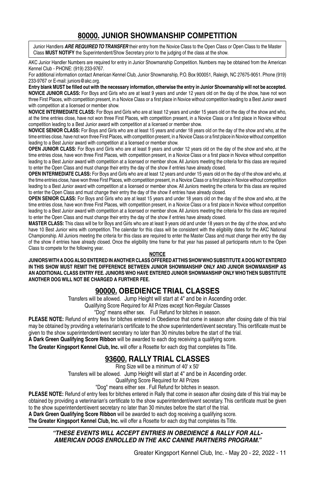## **80000. JUNIOR SHOWMANSHIP COMPETITION**

Junior Handlers *are required to transfer* their entry from the Novice Class to the Open Class or Open Class to the Master Class **Must notify** the Superintendent/Show Secretary prior to the judging of the class at the show.

AKC Junior Handler Numbers are required for entry in Junior Showmanship Competition. Numbers may be obtained from the American Kennel Club - PHONE: (919) 233-9767.

For additional information contact American Kennel Club, Junior Showmanship, P.O. Box 900051, Raleigh, NC 27675-9051. Phone (919) 233-9767 or E-mail: juniors@akc.org.

**Entry blank MUST be filled out with the necessary information, otherwise the entry in Junior Showmanship will not be accepted. NOVICE JUNIOR CLASS:** For Boys and Girls who are at least 9 years and under 12 years old on the day of the show, have not won three First Places, with competition present, in a Novice Class or a first place in Novice without competition leading to a Best Junior award with competition at a licensed or member show.

**NOVICE INTERMEDIATE CLASS:** For Boys and Girls who are at least 12 years and under 15 years old on the day of the show and who, at the time entries close, have not won three First Places, with competition present, in a Novice Class or a first place in Novice without competition leading to a Best Junior award with competition at a licensed or member show.

**NOVICE SENIOR CLASS:** For Boys and Girls who are at least 15 years and under 18 years old on the day of the show and who, at the time entries close, have not won three First Places, with competition present, in a Novice Class or a first place in Novice without competition leading to a Best Junior award with competition at a licensed or member show.

**OPEN JUNIOR CLASS:** For Boys and Girls who are at least 9 years and under 12 years old on the day of the show and who, at the time entries close, have won three First Places, with competition present, in a Novice Class or a first place in Novice without competition leading to a Best Junior award with competition at a licensed or member show. All Juniors meeting the criteria for this class are required to enter the Open Class and must change their entry the day of the show if entries have already closed.

**OPEN INTERMEDIATE CLASS:** For Boys and Girls who are at least 12 years and under 15 years old on the day of the show and who, at the time entries close, have won three First Places, with competition present, in a Novice Class or a first place in Novice without competition leading to a Best Junior award with competition at a licensed or member show. All Juniors meeting the criteria for this class are required to enter the Open Class and must change their entry the day of the show if entries have already closed.

**OPEN SENIOR CLASS:** For Boys and Girls who are at least 15 years and under 18 years old on the day of the show and who, at the time entries close, have won three First Places, with competition present, in a Novice Class or a first place in Novice without competition leading to a Best Junior award with competition at a licensed or member show. All Juniors meeting the criteria for this class are required to enter the Open Class and must change their entry the day of the show if entries have already closed.

**MASTER CLASS:** This class will be for Boys and Girls who are at least 9 years old and under 18 years on the day of the show, and who have 10 Best Junior wins with competition. The calendar for this class will be consistent with the eligibility dates for the AKC National Championship. All Juniors meeting the criteria for this class are required to enter the Master Class and must change their entry the day of the show if entries have already closed. Once the eligibility time frame for that year has passed all participants return to the Open Class to compete for the following year.

#### **NOTICE**

**JUNIORS WITH A DOG ALSO ENTERED IN ANOTHER CLASS OFFERED AT THIS SHOW WHO SUBSTITUTE A DOG NOT ENTERED IN THIS SHOW MUST REMIT THE DIFFERENCE BETWEEN JUNIOR SHOWMANSHIP ONLY AND JUNIOR SHOWMANSHIP AS AN ADDITIONAL CLASS ENTRY FEE. JUNIORS WHO HAVE ENTERED JUNIOR SHOWMANSHIP ONLY WHO THEN SUBSTITUTE ANOTHER DOG WILL NOT BE CHARGED A FURTHER FEE.**

## **90000. OBEDIENCE TRIAL CLASSES**

Transfers will be allowed. Jump Height will start at 4" and be in Ascending order.

Qualifying Score Required for All Prizes except Non-Regular Classes

"Dog" means either sex. Full Refund for bitches in season.

**PLEASE NOTE:** Refund of entry fees for bitches entered in Obedience that come in season after closing date of this trial may be obtained by providing a veterinarian's certificate to the show superintendent/event secretary. This certificate must be given to the show superintendent/event secretary no later than 30 minutes before the start of the trial.

**A Dark Green Qualifying Score Ribbon** will be awarded to each dog receiving a qualifying score.

**The Greater Kingsport Kennel Club, Inc.** will offer a Rosette for each dog that completes its Title.

## **93600. RALLY TRIAL CLASSES**

Ring Size will be a minimum of 40' x 50'

Transfers will be allowed. Jump Height will start at 4" and be in Ascending order.

Qualifying Score Required for All Prizes

"Dog" means either sex . Full Refund for bitches in season.

**PLEASE NOTE:** Refund of entry fees for bitches entered in Rally that come in season after closing date of this trial may be obtained by providing a veterinarian's certificate to the show superintendent/event secretary. This certificate must be given to the show superintendent/event secretary no later than 30 minutes before the start of the trial.

**A Dark Green Qualifying Score Ribbon** will be awarded to each dog receiving a qualifying score.

**The Greater Kingsport Kennel Club, Inc.** will offer a Rosette for each dog that completes its Title.

#### *"THESE EVENTS WILL ACCEPT ENTRIES IN OBEDIENCE & RALLY FOR ALL-AMERICAN DOGS ENROLLED IN THE AKC CANINE PARTNERS PROGRAM."*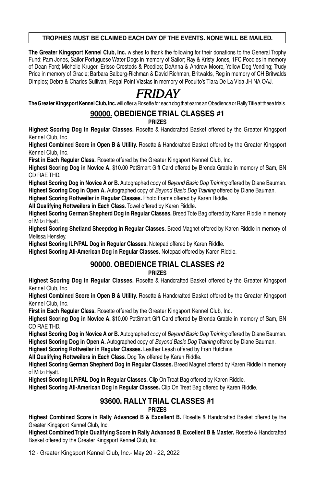#### **TROPHIES MUST BE CLAIMED EACH DAY OF THE EVENTS. NONE WILL BE MAILED.**

**The Greater Kingsport Kennel Club, Inc.** wishes to thank the following for their donations to the General Trophy Fund: Pam Jones, Sailor Portuguese Water Dogs in memory of Sailor; Ray & Kristy Jones, 1FC Poodles in memory of Dean Ford; Michelle Kruger, Erisse Cresteds & Poodles; DeAnna & Andrew Moore, Yellow Dog Vending; Trudy Price in memory of Gracie; Barbara Salberg-Richman & David Richman, Britwalds, Reg in memory of CH Britwalds Dimples; Debra & Charles Sullivan, Regal Point Vizslas in memory of Poquito's Tiara De La Vida JH NA OAJ.

# *FRIDAY*

**The Greater Kingsport Kennel Club, Inc.** will offer a Rosette for each dog that earns an Obedience or Rally Title at these trials.

## **90000. OBEDIENCE TRIAL CLASSES #1**

**PRIZES**

**Highest Scoring Dog in Regular Classes.** Rosette & Handcrafted Basket offered by the Greater Kingsport Kennel Club, Inc.

**Highest Combined Score in Open B & Utility.** Rosette & Handcrafted Basket offered by the Greater Kingsport Kennel Club, Inc.

**First in Each Regular Class.** Rosette offered by the Greater Kingsport Kennel Club, Inc.

**Highest Scoring Dog in Novice A.** \$10.00 PetSmart Gift Card offered by Brenda Grable in memory of Sam, BN CD RAE THD.

**Highest Scoring Dog in Novice A or B.** Autographed copy of *Beyond Basic Dog Training* offered by Diane Bauman. **Highest Scoring Dog in Open A.** Autographed copy of *Beyond Basic Dog Training* offered by Diane Bauman.

**Highest Scoring Rottweiler in Regular Classes.** Photo Frame offered by Karen Riddle.

**All Qualifying Rottweilers in Each Class.** Towel offered by Karen Riddle.

**Highest Scoring German Shepherd Dog in Regular Classes.** Breed Tote Bag offered by Karen Riddle in memory of Mitzi Hyatt.

**Highest Scoring Shetland Sheepdog in Regular Classes.** Breed Magnet offered by Karen Riddle in memory of Melissa Hensley.

**Highest Scoring ILP/PAL Dog in Regular Classes.** Notepad offered by Karen Riddle.

**Highest Scoring All-American Dog in Regular Classes.** Notepad offered by Karen Riddle.

## **90000. OBEDIENCE TRIAL CLASSES #2**

#### **PRIZES**

**Highest Scoring Dog in Regular Classes.** Rosette & Handcrafted Basket offered by the Greater Kingsport Kennel Club, Inc.

**Highest Combined Score in Open B & Utility.** Rosette & Handcrafted Basket offered by the Greater Kingsport Kennel Club, Inc.

**First in Each Regular Class.** Rosette offered by the Greater Kingsport Kennel Club, Inc.

**Highest Scoring Dog in Novice A.** \$10.00 PetSmart Gift Card offered by Brenda Grable in memory of Sam, BN CD RAE THD.

**Highest Scoring Dog in Novice A or B.** Autographed copy of *Beyond Basic Dog Training* offered by Diane Bauman. **Highest Scoring Dog in Open A.** Autographed copy of *Beyond Basic Dog Training* offered by Diane Bauman.

**Highest Scoring Rottweiler in Regular Classes.** Leather Leash offered by Fran Hutchins.

**All Qualifying Rottweilers in Each Class.** Dog Toy offered by Karen Riddle.

**Highest Scoring German Shepherd Dog in Regular Classes.** Breed Magnet offered by Karen Riddle in memory of Mitzi Hyatt.

**Highest Scoring ILP/PAL Dog in Regular Classes.** Clip On Treat Bag offered by Karen Riddle.

**Highest Scoring All-American Dog in Regular Classes.** Clip On Treat Bag offered by Karen Riddle.

#### **93600. RALLY TRIAL CLASSES #1 PRIZES**

**Highest Combined Score in Rally Advanced B & Excellent B.** Rosette & Handcrafted Basket offered by the Greater Kingsport Kennel Club, Inc.

**Highest Combined Triple Qualifying Score in Rally Advanced B, Excellent B & Master.** Rosette & Handcrafted Basket offered by the Greater Kingsport Kennel Club, Inc.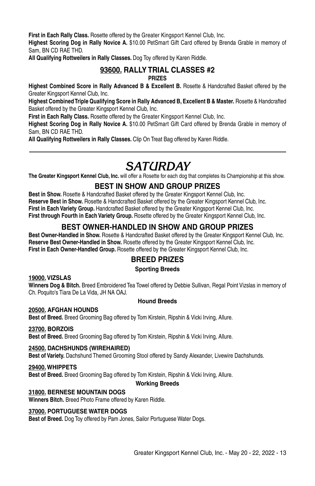**First in Each Rally Class.** Rosette offered by the Greater Kingsport Kennel Club, Inc.

**Highest Scoring Dog in Rally Novice A.** \$10.00 PetSmart Gift Card offered by Brenda Grable in memory of Sam, BN CD RAE THD.

**All Qualifying Rottweilers in Rally Classes.** Dog Toy offered by Karen Riddle.

#### **93600. RALLY TRIAL CLASSES #2 PRIZES**

**Highest Combined Score in Rally Advanced B & Excellent B.** Rosette & Handcrafted Basket offered by the Greater Kingsport Kennel Club, Inc.

**Highest Combined Triple Qualifying Score in Rally Advanced B, Excellent B & Master.** Rosette & Handcrafted Basket offered by the Greater Kingsport Kennel Club, Inc.

**First in Each Rally Class.** Rosette offered by the Greater Kingsport Kennel Club, Inc.

**Highest Scoring Dog in Rally Novice A.** \$10.00 PetSmart Gift Card offered by Brenda Grable in memory of Sam, BN CD RAE THD.

**All Qualifying Rottweilers in Rally Classes.** Clip On Treat Bag offered by Karen Riddle.

# *Saturday*

**The Greater Kingsport Kennel Club, Inc.** will offer a Rosette for each dog that completes its Championship at this show.

## **BEST IN SHOW AND GROUP PRIZES**

**Best in Show.** Rosette & Handcrafted Basket offered by the Greater Kingsport Kennel Club, Inc. **Reserve Best in Show.** Rosette & Handcrafted Basket offered by the Greater Kingsport Kennel Club, Inc. **First in Each Variety Group.** Handcrafted Basket offered by the Greater Kingsport Kennel Club, Inc. First through Fourth in Each Variety Group. Rosette offered by the Greater Kingsport Kennel Club, Inc.

## **BEST OWNER-HANDLED IN SHOW AND GROUP PRIZES**

**Best Owner-Handled in Show.** Rosette & Handcrafted Basket offered by the Greater Kingsport Kennel Club, Inc. **Reserve Best Owner-Handled in Show.** Rosette offered by the Greater Kingsport Kennel Club, Inc. **First in Each Owner-Handled Group.** Rosette offered by the Greater Kingsport Kennel Club, Inc.

## **BREED PRIZES**

#### **Sporting Breeds**

#### **19000. VIZSLAS**

**Winners Dog & Bitch.** Breed Embroidered Tea Towel offered by Debbie Sullivan, Regal Point Vizslas in memory of Ch. Poquito's Tiara De La Vida, JH NA OAJ.

#### **Hound Breeds**

#### **20500. AFGHAN HOUNDS**

**Best of Breed.** Breed Grooming Bag offered by Tom Kirstein, Ripshin & Vicki Irving, Allure.

#### **23700. BORZOIS**

**Best of Breed.** Breed Grooming Bag offered by Tom Kirstein, Ripshin & Vicki Irving, Allure.

#### **24500. DACHSHUNDS (WIREHAIRED)**

**Best of Variety.** Dachshund Themed Grooming Stool offered by Sandy Alexander, Livewire Dachshunds.

#### **29400. WHIPPETS**

**Best of Breed.** Breed Grooming Bag offered by Tom Kirstein, Ripshin & Vicki Irving, Allure.

#### **Working Breeds**

#### **31800. BERNESE MOUNTAIN DOGs**

**Winners Bitch.** Breed Photo Frame offered by Karen Riddle.

#### **37000. PORTUGUESE WATER DOGS**

**Best of Breed.** Dog Toy offered by Pam Jones, Sailor Portuguese Water Dogs.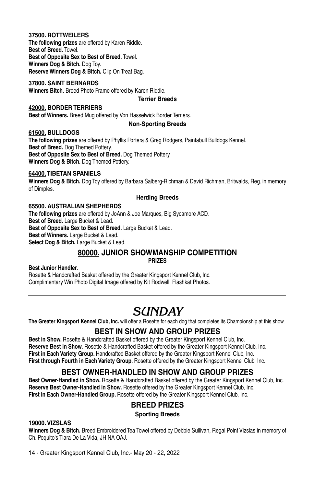#### **37500. ROTTWEILERS**

**The following prizes** are offered by Karen Riddle. **Best of Breed.** Towel. **Best of Opposite Sex to Best of Breed.** Towel. **Winners Dog & Bitch.** Dog Toy. **Reserve Winners Dog & Bitch.** Clip On Treat Bag.

#### **37800. SAINT BERNARDS**

**Winners Bitch.** Breed Photo Frame offered by Karen Riddle.

#### **Terrier Breeds**

#### **42000. BORDER TERRIERS**

**Best of Winners.** Breed Mug offered by Von Hasselwick Border Terriers.

#### **Non-Sporting Breeds**

#### **61500. BULLDOGS**

**The following prizes** are offered by Phyllis Portera & Greg Rodgers, Paintabull Bulldogs Kennel. **Best of Breed.** Dog Themed Pottery. **Best of Opposite Sex to Best of Breed.** Dog Themed Pottery. **Winners Dog & Bitch.** Dog Themed Pottery.

### **64400.TIBETAN SPANIELS**

**Winners Dog & Bitch.** Dog Toy offered by Barbara Salberg-Richman & David Richman, Britwalds, Reg. in memory of Dimples.

#### **Herding Breeds**

#### **65500. AUSTRALIAN SHEPHERDS**

**The following prizes** are offered by JoAnn & Joe Marques, Big Sycamore ACD. **Best of Breed.** Large Bucket & Lead. **Best of Opposite Sex to Best of Breed.** Large Bucket & Lead. **Best of Winners.** Large Bucket & Lead. **Select Dog & Bitch.** Large Bucket & Lead.

# **80000. JUNIOR SHOWMANSHIP COMPETITION**

**PRIZES**

#### **Best Junior Handler.**

Rosette & Handcrafted Basket offered by the Greater Kingsport Kennel Club, Inc. Complimentary Win Photo Digital Image offered by Kit Rodwell, Flashkat Photos.

# *Sunday*

**The Greater Kingsport Kennel Club, Inc.** will offer a Rosette for each dog that completes its Championship at this show.

## **BEST IN SHOW AND GROUP PRIZES**

**Best in Show.** Rosette & Handcrafted Basket offered by the Greater Kingsport Kennel Club, Inc. **Reserve Best in Show.** Rosette & Handcrafted Basket offered by the Greater Kingsport Kennel Club, Inc. First in Each Variety Group. Handcrafted Basket offered by the Greater Kingsport Kennel Club, Inc. **First through Fourth in Each Variety Group.** Rosette offered by the Greater Kingsport Kennel Club, Inc.

## **BEST OWNER-HANDLED IN SHOW AND GROUP PRIZES**

**Best Owner-Handled in Show.** Rosette & Handcrafted Basket offered by the Greater Kingsport Kennel Club, Inc. **Reserve Best Owner-Handled in Show.** Rosette offered by the Greater Kingsport Kennel Club, Inc. First in Each Owner-Handled Group. Rosette offered by the Greater Kingsport Kennel Club, Inc.

## **BREED PRIZES**

**Sporting Breeds**

#### **19000. VIZSLAS**

**Winners Dog & Bitch.** Breed Embroidered Tea Towel offered by Debbie Sullivan, Regal Point Vizslas in memory of Ch. Poquito's Tiara De La Vida, JH NA OAJ.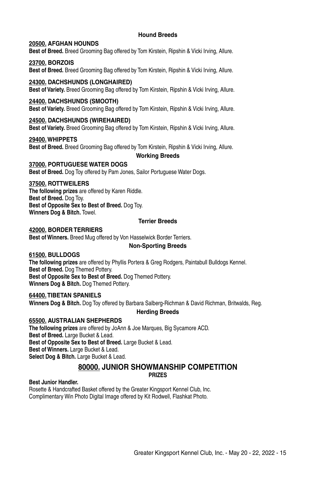#### **Hound Breeds**

#### **20500. AFGHAN HOUNDS**

**Best of Breed.** Breed Grooming Bag offered by Tom Kirstein, Ripshin & Vicki Irving, Allure.

#### **23700. BORZOIS**

**Best of Breed.** Breed Grooming Bag offered by Tom Kirstein, Ripshin & Vicki Irving, Allure.

#### **24300. DACHSHUNDS (LONGHAIRED)**

**Best of Variety.** Breed Grooming Bag offered by Tom Kirstein, Ripshin & Vicki Irving, Allure.

#### **24400. DACHSHUNDS (SMOOTH)**

**Best of Variety.** Breed Grooming Bag offered by Tom Kirstein, Ripshin & Vicki Irving, Allure.

#### **24500. DACHSHUNDS (WIREHAIRED)**

**Best of Variety.** Breed Grooming Bag offered by Tom Kirstein, Ripshin & Vicki Irving, Allure.

#### **29400. WHIPPETS**

**Best of Breed.** Breed Grooming Bag offered by Tom Kirstein, Ripshin & Vicki Irving, Allure.

**Working Breeds**

#### **37000. PORTUGUESE WATER DOGS**

**Best of Breed.** Dog Toy offered by Pam Jones, Sailor Portuguese Water Dogs.

#### **37500. ROTTWEILERS**

**The following prizes** are offered by Karen Riddle. **Best of Breed.** Dog Toy. **Best of Opposite Sex to Best of Breed.** Dog Toy. **Winners Dog & Bitch.** Towel.

#### **Terrier Breeds**

#### **42000. BORDER TERRIERS**

**Best of Winners.** Breed Mug offered by Von Hasselwick Border Terriers.

#### **Non-Sporting Breeds**

#### **61500. BULLDOGS**

**The following prizes** are offered by Phyllis Portera & Greg Rodgers, Paintabull Bulldogs Kennel. **Best of Breed.** Dog Themed Pottery. **Best of Opposite Sex to Best of Breed.** Dog Themed Pottery. **Winners Dog & Bitch.** Dog Themed Pottery.

#### **64400.TIBETAN SPANIELS**

**Winners Dog & Bitch.** Dog Toy offered by Barbara Salberg-Richman & David Richman, Britwalds, Reg.

#### **Herding Breeds**

**65500. AUSTRALIAN SHEPHERDS The following prizes** are offered by JoAnn & Joe Marques, Big Sycamore ACD. **Best of Breed.** Large Bucket & Lead. **Best of Opposite Sex to Best of Breed.** Large Bucket & Lead. **Best of Winners.** Large Bucket & Lead. **Select Dog & Bitch.** Large Bucket & Lead.

#### **80000. JUNIOR SHOWMANSHIP COMPETITION PRIZES**

**Best Junior Handler.**

Rosette & Handcrafted Basket offered by the Greater Kingsport Kennel Club, Inc. Complimentary Win Photo Digital Image offered by Kit Rodwell, Flashkat Photo.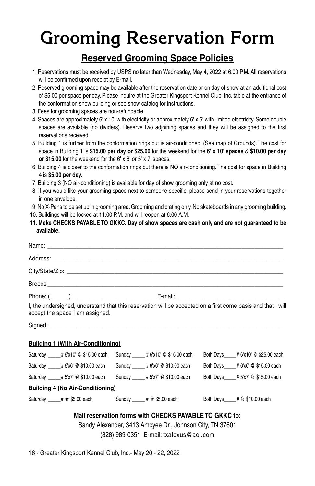# **Grooming Reservation Form**

## **Reserved Grooming Space Policies**

- 1. Reservations must be received by USPS no later than Wednesday, May 4, 2022 at 6:00 P.M. All reservations will be confirmed upon receipt by E-mail.
- 2. Reserved grooming space may be available after the reservation date or on day of show at an additional cost of \$5.00 per space per day. Please inquire at the Greater Kingsport Kennel Club, Inc. table at the entrance of the conformation show building or see show catalog for instructions.
- 3. Fees for grooming spaces are non-refundable.
- 4. Spaces are approximately 6' x 10' with electricity or approximately 6' x 6' with limited electricity. Some double spaces are available (no dividers). Reserve two adjoining spaces and they will be assigned to the first reservations received.
- 5. Building 1 is further from the conformation rings but is air-conditioned. (See map of Grounds). The cost for space in Building 1 is **\$15.00 per day or \$25.00** for the weekend for the **6' x 10' spaces** & **\$10.00 per day or \$15.00** for the weekend for the 6' x 6' or 5' x 7' spaces.
- 6. Building 4 is closer to the conformation rings but there is NO air-conditioning. The cost for space in Building 4 is **\$5.00 per day.**
- 7. Building 3 (NO air-conditioning) is available for day of show grooming only at no cost**.**
- 8. If you would like your grooming space next to someone specific, please send in your reservations together in one envelope.
- 9. No X-Pens to be set up in grooming area. Grooming and crating only. No skateboards in any grooming building.
- 10. Buildings will be locked at 11:00 P.M. and will reopen at 6:00 A.M.
- 11. **Make checks payable to GKKC. Day of show spaces are cash only and are not guaranteed to be available.**

|                                                                                                                                                                                                                                | Address: Note and the contract of the contract of the contract of the contract of the contract of the contract of the contract of the contract of the contract of the contract of the contract of the contract of the contract |                                                                                                             |
|--------------------------------------------------------------------------------------------------------------------------------------------------------------------------------------------------------------------------------|--------------------------------------------------------------------------------------------------------------------------------------------------------------------------------------------------------------------------------|-------------------------------------------------------------------------------------------------------------|
|                                                                                                                                                                                                                                |                                                                                                                                                                                                                                |                                                                                                             |
|                                                                                                                                                                                                                                |                                                                                                                                                                                                                                |                                                                                                             |
|                                                                                                                                                                                                                                |                                                                                                                                                                                                                                |                                                                                                             |
| accept the space I am assigned.                                                                                                                                                                                                |                                                                                                                                                                                                                                | I, the undersigned, understand that this reservation will be accepted on a first come basis and that I will |
| Signed: Signed: All and the state of the state of the state of the state of the state of the state of the state of the state of the state of the state of the state of the state of the state of the state of the state of the |                                                                                                                                                                                                                                |                                                                                                             |
| <b>Building 1 (With Air-Conditioning)</b>                                                                                                                                                                                      |                                                                                                                                                                                                                                |                                                                                                             |
| Saturday ____# 6'x10' @ \$15.00 each                                                                                                                                                                                           | Sunday _____ # 6'x10' @ \$15.00 each                                                                                                                                                                                           | Both Days____# 6'x10' @ \$25.00 each                                                                        |
| Saturday ____# 6'x6' @ \$10.00 each                                                                                                                                                                                            | Sunday _____ # 6'x6' @ \$10.00 each                                                                                                                                                                                            | Both Days # 6'x6' @ \$15.00 each                                                                            |
| Saturday _____ # 5'x7' @ \$10.00 each                                                                                                                                                                                          | Sunday #5'x7' @ \$10.00 each                                                                                                                                                                                                   | Both Days____# 5'x7' @ \$15.00 each                                                                         |
| <b>Building 4 (No Air-Conditioning)</b>                                                                                                                                                                                        |                                                                                                                                                                                                                                |                                                                                                             |

# **Mail reservation forms with CHECKS PAYABLE TO GKKC to:**

Saturday  $\begin{array}{r} 0 \rightarrow \pm \text{ } \text{\textdegreeled{485.00}} \text{ each} \end{array}$  Sunday  $\begin{array}{r} 0 \rightarrow \pm \text{ } \text{\textdegreeled{48.00}} \text{ each} \end{array}$  Both Days  $\begin{array}{r} 0 \rightarrow \pm \text{ } \text{\textdegreeled{48.00}} \text{ each} \end{array}$ 

Sandy Alexander, 3413 Amoyee Dr., Johnson City, TN 37601 (828) 989-0351 E-mail: txalexus@aol.com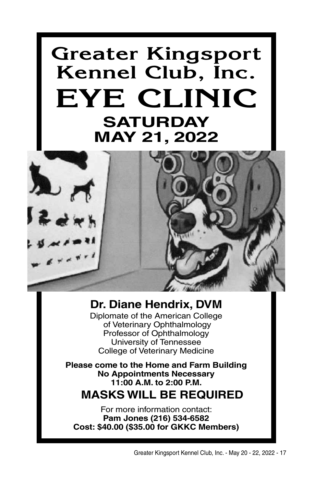# **Greater Kingsport Kennel Club, Inc. EYE CLINIC SATURDAY MAY 21, 2022**



## **Dr. Diane Hendrix, DVM**

Diplomate of the American College of Veterinary Ophthalmology Professor of Ophthalmology University of Tennessee College of Veterinary Medicine

**Please come to the Home and Farm Building No Appointments Necessary 11:00 A.M. to 2:00 P.M.**

# **MASKS WILL BE REQUIRED**

For more information contact: **Pam Jones (216) 534-6582 Cost: \$40.00 (\$35.00 for GKKC Members)**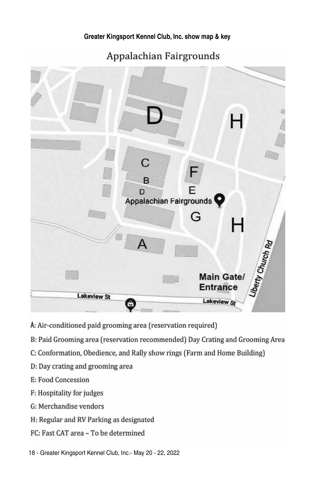Appalachian Fairgrounds



- A: Air-conditioned paid grooming area (reservation required)
- B: Paid Grooming area (reservation recommended) Day Crating and Grooming Area
- C: Conformation, Obedience, and Rally show rings (Farm and Home Building)
- D: Day crating and grooming area
- E: Food Concession
- F: Hospitality for judges
- G: Merchandise vendors
- H: Regular and RV Parking as designated
- FC: Fast CAT area To be determined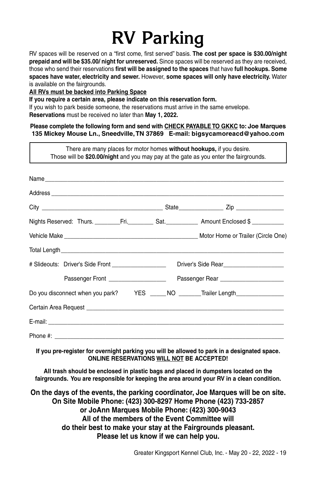# **RV Parking**

RV spaces will be reserved on a "first come, first served" basis. **The cost per space is \$30.00/night prepaid and will be \$35.00/ night for unreserved.** Since spaces will be reserved as they are received, those who send their reservations **first will be assigned to the spaces** that have **full hookups. Some spaces have water, electricity and sewer.** However, **some spaces will only have electricity.** Water is available on the fairgrounds.

**All RVs must be backed into Parking Space**

**If you require a certain area, please indicate on this reservation form.**

If you wish to park beside someone, the reservations must arrive in the same envelope. **Reservations** must be received no later than **May 1, 2022.**

**Please complete the following form and send with check payableto GKKC to: Joe Marques 135 Mickey Mouse Ln., Sneedville, TN 37869 E-mail: bigsycamoreacd@yahoo.com**

There are many places for motor homes **without hookups,** if you desire. Those will be **\$20.00/night** and you may pay at the gate as you enter the fairgrounds.  $Name$ Address **and a set of the set of the set of the set of the set of the set of the set of the set of the set of the set of the set of the set of the set of the set of the set of the set of the set of the set of the set of th** City \_\_\_\_\_\_\_\_\_\_\_\_\_\_\_\_\_\_\_\_\_\_\_\_\_\_\_\_\_\_\_\_\_\_\_\_\_\_ State\_\_\_\_\_\_\_\_\_\_\_\_\_\_ Zip \_\_\_\_\_\_\_\_\_\_\_\_\_\_\_ Nights Reserved: Thurs. \_\_\_\_\_\_\_\_\_Fri. \_\_\_\_\_\_\_\_\_\_ Sat. \_\_\_\_\_\_\_\_\_\_\_\_\_ Amount Enclosed \$ \_\_\_\_\_\_\_\_\_\_\_\_ Vehicle Make \_\_\_\_\_\_\_\_\_\_\_\_\_\_\_\_\_\_\_\_\_\_\_\_\_\_\_\_\_\_\_\_\_\_\_\_\_\_\_\_\_\_ Motor Home or Trailer (Circle One) Total Length # Slideouts: Driver's Side Front \_\_\_\_\_\_\_\_\_\_\_\_\_\_\_\_\_\_\_\_\_\_\_ Driver's Side Rear\_\_\_\_\_\_\_\_\_\_\_\_\_\_\_\_\_\_\_\_\_\_\_\_ Passenger Front \_\_\_\_\_\_\_\_\_\_\_\_\_\_\_\_\_\_ Passenger Rear \_\_\_\_\_\_\_\_\_\_\_\_\_\_\_\_\_\_\_\_ Do you disconnect when you park? YES \_\_\_\_\_ NO \_\_\_\_\_\_Trailer Length\_\_\_\_\_\_\_\_\_\_\_\_\_\_ Certain Area Request \_\_\_\_\_\_\_\_\_\_\_\_\_\_\_\_\_\_\_\_\_\_\_\_\_\_\_\_\_\_\_\_\_\_\_\_\_\_\_\_\_\_\_\_\_\_\_\_\_\_\_\_\_\_\_\_\_\_\_\_\_\_  $E$ -mail:  $\blacksquare$ Phone #:

**If you pre-register for overnight parking you will be allowed to park in a designated space. ONLINE RESERVATIONS WILL NOT BE ACCEPTED!**

**All trash should be enclosed in plastic bags and placed in dumpsters located on the fairgrounds. You are responsible for keeping the area around your RV in a clean condition.**

**On the days of the events, the parking coordinator, Joe Marques will be on site. On Site Mobile Phone: (423) 300-8297 Home Phone (423) 733-2857 or JoAnn Marques Mobile Phone: (423) 300-9043 All of the members of the Event Committee will do their best to make your stay at the Fairgrounds pleasant. Please let us know if we can help you.**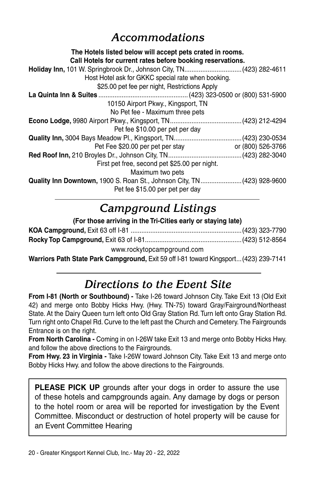# *Accommodations*

### **The Hotels listed below will accept pets crated in rooms. Call Hotels for current rates before booking reservations. Holiday Inn,** 101 W. Springbrook Dr., Johnson City, TN................................(423) 282-4611 Host Hotel ask for GKKC special rate when booking. \$25.00 pet fee per night, Restrictions Apply **La Quinta Inn & Suites** ..................................................(423) 323-0500 or (800) 531-5900 10150 Airport Pkwy., Kingsport, TN No Pet fee - Maximum three pets **Econo Lodge,** 9980 Airport Pkwy., Kingsport, TN........................................(423) 212-4294 Pet fee \$10.00 per pet per day **Quality Inn,** 3004 Bays Meadow Pl., Kingsport, TN......................................(423) 230-0534 Pet Fee \$20.00 per pet per stay or (800) 526-3766 **Red Roof Inn,** 210 Broyles Dr., Johnson City, TN.........................................(423) 282-3040 First pet free, second pet \$25.00 per night. Maximum two pets **Quality Inn Downtown,** 1900 S. Roan St., Johnson City, TN.......................(423) 928-9600 Pet fee \$15.00 per pet per day

# *Campground Listings*

| (For those arriving in the Tri-Cities early or staying late)                                                                                                                                                                                                                                             |  |  |
|----------------------------------------------------------------------------------------------------------------------------------------------------------------------------------------------------------------------------------------------------------------------------------------------------------|--|--|
|                                                                                                                                                                                                                                                                                                          |  |  |
|                                                                                                                                                                                                                                                                                                          |  |  |
| www.rockytopcampground.com                                                                                                                                                                                                                                                                               |  |  |
| $\mathbf{u}$ , and a set $\mathbf{u}$ , and $\mathbf{u}$ , $\mathbf{u}$ , $\mathbf{u}$ , $\mathbf{u}$ , $\mathbf{u}$ , $\mathbf{u}$ , $\mathbf{u}$ , $\mathbf{u}$ , $\mathbf{u}$ , $\mathbf{u}$ , $\mathbf{u}$ , $\mathbf{u}$ , $\mathbf{u}$ , $\mathbf{u}$ , $\mathbf{u}$ , $\mathbf{u}$ , $\mathbf{u}$ |  |  |

**Warriors Path State Park Campground,** Exit 59 off I-81 toward Kingsport...(423) 239-7141

# *Directions to the Event Site*

**From I-81 (North or Southbound) -** Take I-26 toward Johnson City. Take Exit 13 (Old Exit 42) and merge onto Bobby Hicks Hwy. (Hwy. TN-75) toward Gray/Fairground/Northeast State. At the Dairy Queen turn left onto Old Gray Station Rd. Turn left onto Gray Station Rd. Turn right onto Chapel Rd. Curve to the left past the Church and Cemetery. The Fairgrounds Entrance is on the right.

**From North Carolina -** Coming in on I-26W take Exit 13 and merge onto Bobby Hicks Hwy. and follow the above directions to the Fairgrounds.

**From Hwy. 23 in Virginia -** Take I-26W toward Johnson City. Take Exit 13 and merge onto Bobby Hicks Hwy. and follow the above directions to the Fairgrounds.

**Please pick up** grounds after your dogs in order to assure the use of these hotels and campgrounds again. Any damage by dogs or person to the hotel room or area will be reported for investigation by the Event Committee. Misconduct or destruction of hotel property will be cause for an Event Committee Hearing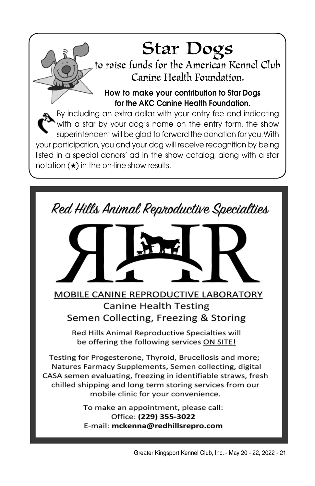Star Dogs<br>to raise funds for the American Kennel Club Canine Health Foundation.

How to make your contribution to Star Dogs for the AKC Canine Health Foundation.

By including an extra dollar with your entry fee and indicating with a star by your dog's name on the entry form, the show superintendent will be glad to forward the donation for you. With your participation, you and your dog will receive recognition by being listed in a special donors' ad in the show catalog, along with a star notation (★) in the on-line show results.

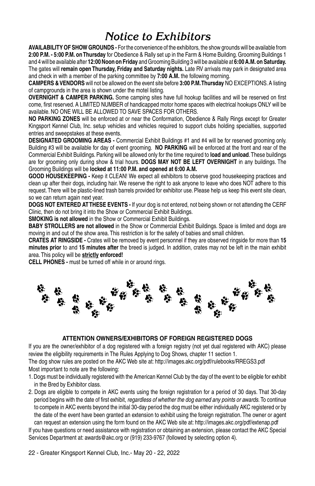# *Notice to Exhibitors*

**availability of show grounds -** For the convenience of the exhibitors, the show grounds will be available from **2:00 P.M. - 5:00 P.M. on Thursday** for Obedience & Rally set up in the Farm & Home Building. Grooming Buildings 1 and 4 will be available after **12:00 Noon on Friday** and Grooming Building 3 will be available at **6:00 A.M. on Saturday.** The gates will **remain open Thursday, Friday and Saturday nights.** Late RV arrivals may park in designated area and check in with a member of the parking committee by **7:00 A.M.** the following morning.

**Campers & Vendors** will not be allowed on the event site before **3:00 P.M. Thursday** NO EXCEPTIONS. A listing of campgrounds in the area is shown under the motel listing.

**Overnight & Camper Parking.** Some camping sites have full hookup facilities and will be reserved on first come, first reserved. A LIMITED NUMBER of handicapped motor home spaces with electrical hookups ONLY will be available. NO ONE WILL BE ALLOWED TO SAVE SPACES FOR OTHERS.

**no parking zones** will be enforced at or near the Conformation, Obedience & Rally Rings except for Greater Kingsport Kennel Club, Inc. setup vehicles and vehicles required to support clubs holding specialties, supported entries and sweepstakes at these events.

**DESIGNATED GROOMING AREAS -** Commercial Exhibit Buildings #1 and #4 will be for reserved grooming only. Building #3 will be available for day of event grooming. **NO PARKING** will be enforced at the front and rear of the Commercial Exhibit Buildings. Parking will be allowed only for the time required to **load and unload**. These buildings are for grooming only during show & trial hours. **DOGS MAY NOT BE LEFT OVERNIGHT** in any buildings. The Grooming Buildings will be **locked at 11:00 P.M. and opened at 6:00 A.M.**

**good housekeeping -** Keep it CLEAN! We expect all exhibitors to observe good housekeeping practices and clean up after their dogs, including hair. We reserve the right to ask anyone to leave who does NOT adhere to this request. There will be plastic-lined trash barrels provided for exhibitor use. Please help us keep this event site clean, so we can return again next year.

**DOGS NOT entered AT THESE EVENTS -** If your dog is not entered, not being shown or not attending the CERF Clinic, then do not bring it into the Show or Commercial Exhibit Buildings.

**SMOKING is not allowed** in the Show or Commercial Exhibit Buildings.

**Baby strollers are not allowed** in the Show or Commercial Exhibit Buildings. Space is limited and dogs are moving in and out of the show area. This restriction is for the safety of babies and small children.

**CRATES AT RINGSIDE -** Crates will be removed by event personnel if they are observed ringside for more than **15 minutes prior** to and **15 minutes after** the breed is judged. In addition, crates may not be left in the main exhibit area. This policy will be **strictly enforced!**

**Cell phones -** must be turned off while in or around rings.



#### **Attention Owners/Exhibitors of Foreign Registered Dogs**

If you are the owner/exhibitor of a dog registered with a foreign registry (not yet dual registered with AKC) please review the eligibility requirements in The Rules Applying to Dog Shows, chapter 11 section 1.

The dog show rules are posted on the AKC Web site at: http://images.akc.org/pdf/rulebooks/RREGS3.pdf Most important to note are the following:

- 1. Dogs must be individually registered with the American Kennel Club by the day of the event to be eligible for exhibit in the Bred by Exhibitor class.
- 2. Dogs are eligible to compete in AKC events using the foreign registration for a period of 30 days. That 30-day period begins with the date of first exhibit, *regardless of whether the dog earned any points or awards.* To continue to compete in AKC events beyond the initial 30-day period the dog must be either individually AKC registered or by the date of the event have been granted an extension to exhibit using the foreign registration. The owner or agent can request an extension using the form found on the AKC Web site at: http://images.akc.org/pdf/extenap.pdf

If you have questions or need assistance with registration or obtaining an extension, please contact the AKC Special Services Department at: awards@akc.org or (919) 233-9767 (followed by selecting option 4).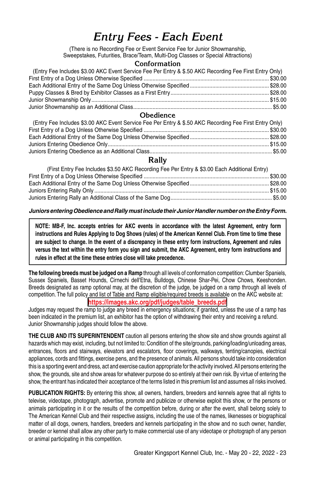# *Entry Fees - Each Event*

(There is no Recording Fee or Event Service Fee for Junior Showmanship, Sweepstakes, Futurities, Brace/Team, Multi-Dog Classes or Special Attractions)

#### **Conformation**

| (Entry Fee Includes \$3.00 AKC Event Service Fee Per Entry & \$.50 AKC Recording Fee First Entry Only) |  |
|--------------------------------------------------------------------------------------------------------|--|
|                                                                                                        |  |
|                                                                                                        |  |
|                                                                                                        |  |
|                                                                                                        |  |
|                                                                                                        |  |

#### **Obedience**

| (Entry Fee Includes \$3.00 AKC Event Service Fee Per Entry & \$.50 AKC Recording Fee First Entry Only) |  |
|--------------------------------------------------------------------------------------------------------|--|
|                                                                                                        |  |
|                                                                                                        |  |
|                                                                                                        |  |
|                                                                                                        |  |
|                                                                                                        |  |

#### **Rally**

| (First Entry Fee Includes \$3.50 AKC Recording Fee Per Entry & \$3.00 Each Additional Entry) |  |
|----------------------------------------------------------------------------------------------|--|
|                                                                                              |  |
|                                                                                              |  |
|                                                                                              |  |
|                                                                                              |  |

#### *Juniors entering Obedience and Rally must include their Junior Handler number on the Entry Form.*

**NOTE: MB-F, Inc. accepts entries for AKC events in accordance with the latest Agreement, entry form instructions and Rules Applying to Dog Shows (rules) of the American Kennel Club. From time to time these are subject to change. In the event of a discrepancy in these entry form instructions, Agreement and rules versus the text within the entry form you sign and submit, the AKC Agreement, entry form instructions and rules in effect at the time these entries close will take precedence.**

**The following breeds must be judged on a Ramp** through all levels of conformation competition: Clumber Spaniels, Sussex Spaniels, Basset Hounds, Cirnechi dell'Etna, Bulldogs, Chinese Shar-Pei, Chow Chows, Keeshonden. Breeds designated as ramp optional may, at the discretion of the judge, be judged on a ramp through all levels of competition. The full policy and list of Table and Ramp eligible/required breeds is available on the AKC website at: **https://images.akc.org/pdf/judges/table\_breeds.pdf**

Judges may request the ramp to judge any breed in emergency situations; if granted, unless the use of a ramp has been indicated in the premium list, an exhibitor has the option of withdrawing their entry and receiving a refund. Junior Showmanship judges should follow the above.

**The Club and its Superintendent** caution all persons entering the show site and show grounds against all hazards which may exist, including, but not limited to: Condition of the site/grounds, parking/loading/unloading areas, entrances, floors and stairways, elevators and escalators, floor coverings, walkways, tenting/canopies, electrical appliances, cords and fittings, exercise pens, and the presence of animals. All persons should take into consideration this is a sporting event and dress, act and exercise caution appropriate for the activity involved. All persons entering the show, the grounds, site and show areas for whatever purpose do so entirely at their own risk. By virtue of entering the show, the entrant has indicated their acceptance of the terms listed in this premium list and assumes all risks involved.

**PUBLICATION RIGHTS:** By entering this show, all owners, handlers, breeders and kennels agree that all rights to televise, videotape, photograph, advertise, promote and publicize or otherwise exploit this show, or the persons or animals participating in it or the results of the competition before, during or after the event, shall belong solely to The American Kennel Club and their respective assigns, including the use of the names, likenesses or biographical matter of all dogs, owners, handlers, breeders and kennels participating in the show and no such owner, handler, breeder or kennel shall allow any other party to make commercial use of any videotape or photograph of any person or animal participating in this competition.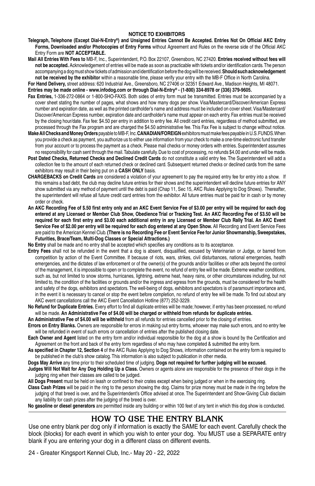#### **NOTICE TO EXHIBITORS**

- **Telegraph, Telephone (Except Dial-N-Entry®) and Unsigned Entries Cannot Be Accepted. Entries Not On Official AKC Entry Forms, Downloaded and/or Photocopies of Entry Forms** without Agreement and Rules on the reverse side of the Official AKC Entry Form are **NOT ACCEPTABLE.**
- **Mail All Entries With Fees to** MB-F, Inc., Superintendent, P.O. Box 22107, Greensboro, NC 27420. **Entries received without fees will not be accepted.** Acknowledgement of entries will be made as soon as practicable with tickets and/or identification cards. The person accompanying a dog must show tickets of admission and identification before the dog will be received. **Should such acknowledgement not be received by the exhibitor** within a reasonable time, please verify your entry with the MB-F Office in North Carolina.

**For Hand Delivery,** street address: 620 Industrial Ave., Greensboro, NC 27406 or 32351 Edward Ave., Madison Heights, MI 48071.

#### **Entries may be made online - www.infodog.com or through Dial-N-Entry® - (1-800) 334-8978 or (336) 379-9605.**

- **Fax Entries,** 1-336-272-0864 or 1-800-SHO-FAXS. Both sides of entry form must be transmitted. Entries must be accompanied by a cover sheet stating the number of pages, what shows and how many dogs per show. Visa/Mastercard/Discover/American Express number and expiration date, as well as the printed cardholder's name and address must be included on cover sheet. Visa/Mastercard/ Discover/American Express number, expiration date and cardholder's name must appear on each entry. Fax entries must be received by the closing hour/date. Fax fee: \$4.50 per entry in addition to entry fee. All credit card entries, regardless of method submitted, are processed through the Fax program and are charged the \$4.50 administrative fee. This Fax Fee is subject to change without notice.
- **Make All Checks and Money Orders** payable to MB-F, Inc. **CANADIAN/FOREIGN** exhibitors must make fees payable in U.S. FUNDS. When you provide a check as payment, you authorize us to either use information from your check to make a one-time electronic fund transfer from your account or to process the payment as a check. Please mail checks or money orders with entries. Superintendent assumes no responsibility for cash sent through the mail. Tabulate carefully. Due to cost of processing, no refunds \$4.00 and under will be made.
- Post Dated Checks, Returned Checks and Declined Credit Cards do not constitute a valid entry fee. The Superintendent will add a collection fee to the amount of each returned check or declined card. Subsequent returned checks or declined cards from the same exhibitors may result in their being put on a **CASH ONLY** basis.
- **CHARGEBACKS on Credit Cards** are considered a violation of your agreement to pay the required entry fee for entry into a show. If this remains a bad debt, the club may decline future entries for their shows and the superintendent will decline future entries for ANY show submitted via any method of payment until the debt is paid (Chap 11, Sec 15, AKC Rules Applying to Dog Shows). Thereafter, the superintendent will refuse all future credit card entries from the exhibitor. All future entries must be paid for in cash or by money order or check.
- **An AKC Recording Fee of \$.50 first entry only and an AKC Event Service Fee of \$3.00 per entry will be required for each dog entered at any Licensed or Member Club Show, Obedience Trial or Tracking Test. An AKC Recording Fee of \$3.50 will be required for each first entry and \$3.00 each additional entry in any Licensed or Member Club Rally Trial. An AKC Event**  Service Fee of \$2.00 per entry will be required for each dog entered at any Open Show. All Recording and Event Service Fees are paid to the American Kennel Club. **(There is no Recording Fee or Event Service Fee for Junior Showmanship, Sweepstakes, Futurities, Brace/Team, Multi-Dog Classes or Special Attractions.)**

**No Entry** shall be made and no entry shall be accepted which specifies any conditions as to its acceptance.

- **Entry Fees** shall not be refunded in the event that a dog is absent, disqualified, excused by Veterinarian or Judge, or barred from competition by action of the Event Committee. If because of riots, wars, strikes, civil disturbances, national emergencies, health emergencies, and the dictates of law enforcement or of the owner(s) of the grounds and/or facilities or other acts beyond the control of the management, it is impossible to open or to complete the event, no refund of entry fee will be made. Extreme weather conditions, such as, but not limited to snow storms, hurricanes, lightning, extreme heat, heavy rains, or other circumstances including, but not limited to, the condition of the facilities or grounds and/or the ingress and egress from the grounds, must be considered for the health and safety of the dogs, exhibitors and spectators. The well-being of dogs, exhibitors and spectators is of paramount importance and, in the event it is necessary to cancel or stop the event before completion, no refund of entry fee will be made. To find out about any AKC event cancellations call the AKC Event Cancellation Hotline (877) 252-3229.
- **No Refund for Duplicate Entries.** Every effort to find all duplicate entries will be made; however, if entry has been processed, no refund will be made. **An Administrative Fee of \$4.00 will be charged or withheld from refunds for duplicate entries.**
- **An Administrative Fee of \$4.00 will be withheld** from all refunds for entries cancelled prior to the closing of entries.
- **Errors on Entry Blanks.** Owners are responsible for errors in making out entry forms, whoever may make such errors, and no entry fee will be refunded in event of such errors or cancellation of entries after the published closing date.
- **Each Owner and Agent** listed on the entry form and/or individual responsible for the dog at a show is bound by the Certification and Agreement on the front and back of the entry form regardless of who may have completed & submitted the entry form.
- **As specified in Chapter 12, Section 4** of the AKC Rules Applying to Dog Shows, information contained on the entry form is required to be published in the club's show catalog. This information is also subject to publication in other media.
- **Dogs May Arrive** any time prior to their scheduled time of judging. **Dogs not required for further judging will be excused.**
- **Judges Will Not Wait for Any Dog Holding Up a Class.** Owners or agents alone are responsible for the presence of their dogs in the judging ring when their classes are called to be judged.
- **All Dogs Present** must be held on leash or confined to their crates except when being judged or when in the exercising ring.
- **Class Cash Prizes** will be paid in the ring to the person showing the dog. Claims for prize money must be made in the ring before the judging of that breed is over, and the Superintendent's Office advised at once. The Superintendent and Show-Giving Club disclaim any liability for cash prizes after the judging of the breed is over.

**No gasoline or diesel generators** are permitted inside any building or within 100 feet of any tent in which this dog show is conducted.

## **HOW TO USE THE ENTRY BLANK**

Use one entry blank per dog only if information is exactly the SAME for each event. Carefully check the block (blocks) for each event in which you wish to enter your dog. You MUST use a SEPARATE entry blank if you are entering your dog in a different class on different events.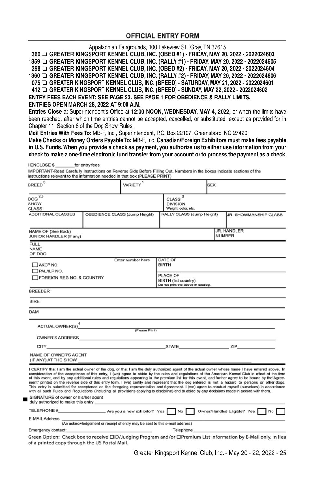#### **OFFICIAL ENTRY FORM**

Appalachian Fairgrounds, 100 Lakeview St., Gray, TN 37615

**360** ❏ **GREATER KINGSPORT KENNEL CLUB, INC. (OBED #1) - FRIDAY, MAY 20, 2022 - 2022024603 1359** ❏ **GREATER KINGSPORT KENNEL CLUB, INC. (RALLY #1) - FRIDAY, MAY 20, 2022 - 2022024605 398** ❏ **GREATER KINGSPORT KENNEL CLUB, INC. (OBED #2) - FRIDAY, MAY 20, 2022 - 2022024604**

**1360** ❏ **GREATER KINGSPORT KENNEL CLUB, INC. (RALLY #2) - FRIDAY, MAY 20, 2022 - 2022024606**

**075** ❏ **GREATER KINGSPORT KENNEL CLUB, INC. (BREED) - SATURDAY, MAY 21, 2022 - 2022024601**

**412** ❏ **GREATER KINGSPORT KENNEL CLUB, INC. (BREED) - SUNDAY, MAY 22, 2022 - 2022024602 Entry Fees EACH EVENT: SEE PAGE 23. SEE PAGE 1 FOR OBEDIENCE & RALLY LIMITS.**

**ENTRIES OPEN MARCH 28, 2022 AT 9:00 A.M.**

**Entries Close** at Superintendent's Office at **12:00 Noon, WEDNESDAY, MAY 4, 2022,** or when the limits have been reached, after which time entries cannot be accepted, cancelled, or substituted, except as provided for in Chapter 11, Section 6 of the Dog Show Rules.

**Mail Entries With Fees To:** MB-F, Inc., Superintendent, P.O. Box 22107, Greensboro, NC 27420.

**Make Checks or Money Orders Payable To:** MB-F, Inc. **Canadian/Foreign Exhibitors must make fees payable in U.S. Funds. When you provide a check as payment, you authorize us to either use information from your check to make a one-time electronic fund transfer from your account or to process the payment as a check.**

#### LENGLOSE \$ for entry fees

IMPORTANT-Read Carefully Instructions on Reverse Side Before Filling Out. Numbers in the boxes indicate sections of the instructions relevant to the information needed in that box (PLEASE PRINT)

| <b>BREED</b>                                                                                                                                                                                                                                                          |                                                                             | VARIETY                                                                |                                                                | <b>SEX</b> |                                                                                                                                                                                                                                                                                                                                                                                                                                                                                                                                                                                                                                                                                                                                                                       |
|-----------------------------------------------------------------------------------------------------------------------------------------------------------------------------------------------------------------------------------------------------------------------|-----------------------------------------------------------------------------|------------------------------------------------------------------------|----------------------------------------------------------------|------------|-----------------------------------------------------------------------------------------------------------------------------------------------------------------------------------------------------------------------------------------------------------------------------------------------------------------------------------------------------------------------------------------------------------------------------------------------------------------------------------------------------------------------------------------------------------------------------------------------------------------------------------------------------------------------------------------------------------------------------------------------------------------------|
| $DOG$ $2,3$<br>SHOW<br><b>CLASS</b>                                                                                                                                                                                                                                   |                                                                             |                                                                        | $CLASS$ <sup>3</sup><br><b>DIVISION</b><br>Weight, color, etc. |            |                                                                                                                                                                                                                                                                                                                                                                                                                                                                                                                                                                                                                                                                                                                                                                       |
| <b>ADDITIONAL CLASSES</b>                                                                                                                                                                                                                                             | OBEDIENCE CLASS (Jump Height)                                               |                                                                        | RALLY CLASS (Jump Height)                                      |            | JR. SHOWMANSHIP CLASS                                                                                                                                                                                                                                                                                                                                                                                                                                                                                                                                                                                                                                                                                                                                                 |
| NAME OF (See Back)<br>JUNIOR HANDLER (If any)                                                                                                                                                                                                                         |                                                                             |                                                                        |                                                                |            | <b>JR. HANDLER</b><br><b>NUMBER</b>                                                                                                                                                                                                                                                                                                                                                                                                                                                                                                                                                                                                                                                                                                                                   |
| <b>FULL</b><br>NAME<br>OF DOG                                                                                                                                                                                                                                         |                                                                             |                                                                        |                                                                |            |                                                                                                                                                                                                                                                                                                                                                                                                                                                                                                                                                                                                                                                                                                                                                                       |
| AKC® NO.<br>$\Box$ PAL/ILP NO.                                                                                                                                                                                                                                        |                                                                             | Enter number here                                                      | DATE OF<br><b>BIRTH</b>                                        |            |                                                                                                                                                                                                                                                                                                                                                                                                                                                                                                                                                                                                                                                                                                                                                                       |
| FOREIGN REG NO. & COUNTRY                                                                                                                                                                                                                                             |                                                                             | PLACE OF<br>BIRTH (list country)<br>Do not print the above in catalog. |                                                                |            |                                                                                                                                                                                                                                                                                                                                                                                                                                                                                                                                                                                                                                                                                                                                                                       |
| <b>BREEDER</b>                                                                                                                                                                                                                                                        |                                                                             |                                                                        |                                                                |            |                                                                                                                                                                                                                                                                                                                                                                                                                                                                                                                                                                                                                                                                                                                                                                       |
| <b>SIRE</b>                                                                                                                                                                                                                                                           |                                                                             |                                                                        |                                                                |            |                                                                                                                                                                                                                                                                                                                                                                                                                                                                                                                                                                                                                                                                                                                                                                       |
| <b>DAM</b>                                                                                                                                                                                                                                                            |                                                                             |                                                                        |                                                                |            |                                                                                                                                                                                                                                                                                                                                                                                                                                                                                                                                                                                                                                                                                                                                                                       |
| ACTUAL OWNER(S) <sup>4</sup> (Please Print)                                                                                                                                                                                                                           |                                                                             |                                                                        |                                                                |            |                                                                                                                                                                                                                                                                                                                                                                                                                                                                                                                                                                                                                                                                                                                                                                       |
|                                                                                                                                                                                                                                                                       |                                                                             |                                                                        |                                                                |            |                                                                                                                                                                                                                                                                                                                                                                                                                                                                                                                                                                                                                                                                                                                                                                       |
|                                                                                                                                                                                                                                                                       |                                                                             |                                                                        |                                                                |            |                                                                                                                                                                                                                                                                                                                                                                                                                                                                                                                                                                                                                                                                                                                                                                       |
| NAME OF OWNER'S AGENT                                                                                                                                                                                                                                                 |                                                                             |                                                                        |                                                                |            |                                                                                                                                                                                                                                                                                                                                                                                                                                                                                                                                                                                                                                                                                                                                                                       |
| with all such Rules and Regulations (including all provisions applying to discipline) and to abide by any decisions made in accord with them.                                                                                                                         |                                                                             |                                                                        |                                                                |            | I CERTIFY that I am the actual owner of the dog, or that I am the duly authorized agent of the actual owner whose name I have entered above. In<br>consideration of the acceptance of this entry, I (we) agree to abide by the rules and regulations of the American Kennel Club in effect at the time<br>of this event, and by any additional rules and regulations appearing in the premium list for this event, and further agree to be bound by the"Agree-<br>ment" printed on the reverse side of this entry form. I (we) certify and represent that the dog entered is not a hazard to persons or other dogs.<br>This entry is submitted for acceptance on the foregoing representation and Agreement. I (we) agree to conduct myself (ourselves) in accordance |
| SIGNATURE of owner or his/her agent<br>duly authorized to make this entry experience and a series of the series of the series of the series of the series of the series of the series of the series of the series of the series of the series of the series of the se |                                                                             |                                                                        |                                                                |            |                                                                                                                                                                                                                                                                                                                                                                                                                                                                                                                                                                                                                                                                                                                                                                       |
|                                                                                                                                                                                                                                                                       |                                                                             |                                                                        |                                                                |            |                                                                                                                                                                                                                                                                                                                                                                                                                                                                                                                                                                                                                                                                                                                                                                       |
| E-MAIL Address _                                                                                                                                                                                                                                                      | (An acknowledgement or receipt of entry may be sent to this e-mail address) |                                                                        |                                                                |            |                                                                                                                                                                                                                                                                                                                                                                                                                                                                                                                                                                                                                                                                                                                                                                       |
| Emergency contact:                                                                                                                                                                                                                                                    |                                                                             |                                                                        | Telephone                                                      |            |                                                                                                                                                                                                                                                                                                                                                                                                                                                                                                                                                                                                                                                                                                                                                                       |
|                                                                                                                                                                                                                                                                       |                                                                             |                                                                        |                                                                |            | Green Option: Check box to receive <b>OID/Judging Program and/or OPremium</b> List information by E-Mail only, in lieu                                                                                                                                                                                                                                                                                                                                                                                                                                                                                                                                                                                                                                                |

of a printed copy through the US Postal Mail.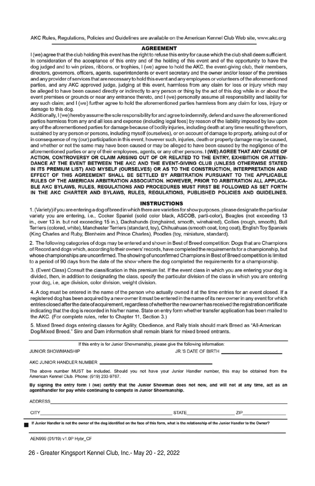AKC Rules, Regulations, Policies and Guidelines are available on the American Kennel Club Web site, www.akc.org

#### **AGREEMENT**

I (we) agree that the club holding this event has the right to refuse this entry for cause which the club shall deem sufficient. In consideration of the acceptance of this entry and of the holding of this event and of the opportunity to have the dog judged and to win prizes, ribbons, or trophies, I (we) agree to hold the AKC, the event-giving club, their members, directors, governors, officers, agents, superintendents or event secretary and the owner and/or lessor of the premises and any provider of services that are necessary to hold this event and any employees or volunteers of the aforementioned parties, and any AKC approved judge, judging at this event, harmless from any claim for loss or injury which may be alleged to have been caused directly or indirectly to any person or thing by the act of this dog while in or about the event premises or grounds or near any entrance thereto, and I (we) personally assume all responsibility and liability for any such claim; and I (we) further agree to hold the aforementioned parties harmless from any claim for loss, injury or damage to this dog.

Additionally, I (we) hereby assume the sole responsibility for and agree to indemnify, defend and save the aforementioned parties harmless from any and all loss and expense (including legal fees) by reason of the liability imposed by law upon any of the aforementioned parties for damage because of bodily injuries, including death at any time resulting therefrom, sustained by any person or persons, including myself (ourselves), or on account of damage to property, arising out of or in consequence of my (our) participation in this event, however such, injuries, death or property damage may be caused, and whether or not the same may have been caused or may be alleged to have been caused by the negligence of the aforementioned parties or any of their employees, agents, or any other persons. I (WE) AGREE THAT ANY CAUSE OF ACTION, CONTROVERSY OR CLAIM ARISING OUT OF OR RELATED TO THE ENTRY, EXHIBITION OR ATTEN-DANCE AT THE EVENT BETWEEN THE AKC AND THE EVENT-GIVING CLUB (UNLESS OTHERWISE STATED IN ITS PREMIUM LIST) AND MYSELF (OURSELVES) OR AS TO THE CONSTRUCTION, INTERPRETATION AND EFFECT OF THIS AGREEMENT SHALL BE SETTLED BY ARBITRATION PURSUANT TO THE APPLICABLE RULES OF THE AMERICAN ARBITRATION ASSOCIATION. HOWEVER, PRIOR TO ARBITRATION ALL APPLICA-BLE AKC BYLAWS, RULES, REGULATIONS AND PROCEDURES MUST FIRST BE FOLLOWED AS SET FORTH IN THE AKC CHARTER AND BYLAWS, RULES, REGULATIONS, PUBLISHED POLICIES AND GUIDELINES.

#### **INSTRUCTIONS**

1. (Variety) if you are entering a dog of breed in which there are varieties for show purposes, please designate the particular variety you are entering, i.e., Cocker Spaniel (solid color black, ASCOB, parti-color), Beagles (not exceeding 13 in., over 13 in. but not exceeding 15 in.), Dachshunds (longhaired, smooth, wirehaired), Collies (rough, smooth), Bull Terriers (colored, white), Manchester Terriers (standard, toy), Chihuahuas (smooth coat, long coat), English Toy Spaniels (King Charles and Ruby, Blenheim and Prince Charles), Poodles (toy, miniature, standard).

2. The following categories of dogs may be entered and shown in Best of Breed competition: Dogs that are Champions of Record and dogs which, according to their owners' records, have completed the requirements for a championship, but whose championships are unconfirmed. The showing of unconfirmed Champions in Best of Breed competition is limited to a period of 90 days from the date of the show where the dog completed the requirements for a championship.

3. (Event Class) Consult the classification in this premium list. If the event class in which you are entering your dog is divided, then, in addition to designating the class, specify the particular division of the class in which you are entering your dog, i.e, age division, color division, weight division.

4. A dog must be entered in the name of the person who actually owned it at the time entries for an event closed. If a registered dog has been acquired by a new owner it must be entered in the name of its new owner in any event for which entries closed after the date of acquirement, regardless of whether the new owner has received the registration certificate indicating that the dog is recorded in his/her name. State on entry form whether transfer application has been mailed to the AKC. (For complete rules, refer to Chapter 11, Section 3.)

5. Mixed Breed dogs entering classes for Agility, Obedience, and Rally trials should mark Breed as "All-American Dog/Mixed Breed." Sire and Dam information shall remain blank for mixed breed entrants.

If this entry is for Junior Showmanship, please give the following information:

| <b>JUNIOR SHOWMANSHIP</b>                                                                                                                                                                                                      |  |
|--------------------------------------------------------------------------------------------------------------------------------------------------------------------------------------------------------------------------------|--|
| AKC JUNIOR HANDLER NUMBER THE SERVICE OF STREET AND THE STREET AND THE STREET AND THE STREET AND THE STREET AND THE STREET AND THE STREET AND THE STREET AND THE STREET AND THE STREET AND THE STREET AND THE STREET AND THE S |  |
| The above number MUST be included. Should you not have your Junior Handler number, this may be obtained from the<br>American Kennel Club, Phone: (919) 233-9767.                                                               |  |

By signing the entry form I (we) certify that the Junior Showman does not now, and will not at any time, act as an agent/handler for pay while continuing to compete in Junior Showmanship.

**ADDRESS** 

**CITY** 

**STATE** 

ZIP

If Junior Handler is not the owner of the dog identified on the face of this form, what is the relationship of the Junior Handler to the Owner?

AEN999 (01/19) v1.0P Hybr\_CF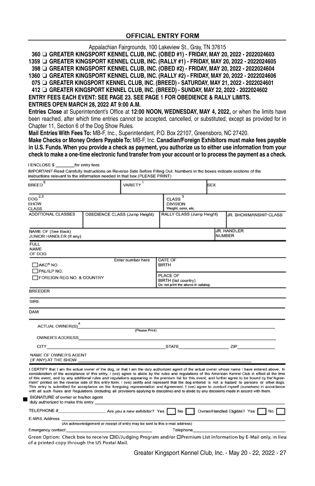#### **OFFICIAL ENTRY FORM**

Appalachian Fairgrounds, 100 Lakeview St., Gray, TN 37615

**360** ❏ **GREATER KINGSPORT KENNEL CLUB, INC. (OBED #1) - FRIDAY, MAY 20, 2022 - 2022024603 1359** ❏ **GREATER KINGSPORT KENNEL CLUB, INC. (RALLY #1) - FRIDAY, MAY 20, 2022 - 2022024605 398** ❏ **GREATER KINGSPORT KENNEL CLUB, INC. (OBED #2) - FRIDAY, MAY 20, 2022 - 2022024604**

**1360** ❏ **GREATER KINGSPORT KENNEL CLUB, INC. (RALLY #2) - FRIDAY, MAY 20, 2022 - 2022024606**

**075** ❏ **GREATER KINGSPORT KENNEL CLUB, INC. (BREED) - SATURDAY, MAY 21, 2022 - 2022024601**

**412** ❏ **GREATER KINGSPORT KENNEL CLUB, INC. (BREED) - SUNDAY, MAY 22, 2022 - 2022024602 Entry Fees EACH EVENT: SEE PAGE 23. SEE PAGE 1 FOR OBEDIENCE & RALLY LIMITS.**

**ENTRIES OPEN MARCH 28, 2022 AT 9:00 A.M.**

**Entries Close** at Superintendent's Office at **12:00 Noon, WEDNESDAY, MAY 4, 2022,** or when the limits have been reached, after which time entries cannot be accepted, cancelled, or substituted, except as provided for in Chapter 11, Section 6 of the Dog Show Rules.

**Mail Entries With Fees To:** MB-F, Inc., Superintendent, P.O. Box 22107, Greensboro, NC 27420.

**Make Checks or Money Orders Payable To:** MB-F, Inc. **Canadian/Foreign Exhibitors must make fees payable in U.S. Funds. When you provide a check as payment, you authorize us to either use information from your check to make a one-time electronic fund transfer from your account or to process the payment as a check.**

#### LENGLOSE \$ for entry fees

IMPORTANT-Read Carefully Instructions on Reverse Side Before Filling Out. Numbers in the boxes indicate sections of the instructions relevant to the information needed in that box (PLEASE PRINT)

| <b>BREED</b>                                                                                                                                                                                                                                                          |                                                                             | VARIETY                                                                |                                                                | <b>SEX</b> |                                                                                                                                                                                                                                                                                                                                                                                                                                                                                                                                                                                                                                                                                                                                                                       |
|-----------------------------------------------------------------------------------------------------------------------------------------------------------------------------------------------------------------------------------------------------------------------|-----------------------------------------------------------------------------|------------------------------------------------------------------------|----------------------------------------------------------------|------------|-----------------------------------------------------------------------------------------------------------------------------------------------------------------------------------------------------------------------------------------------------------------------------------------------------------------------------------------------------------------------------------------------------------------------------------------------------------------------------------------------------------------------------------------------------------------------------------------------------------------------------------------------------------------------------------------------------------------------------------------------------------------------|
| $DOG$ $2,3$<br>SHOW<br><b>CLASS</b>                                                                                                                                                                                                                                   |                                                                             |                                                                        | $CLASS$ <sup>3</sup><br><b>DIVISION</b><br>Weight, color, etc. |            |                                                                                                                                                                                                                                                                                                                                                                                                                                                                                                                                                                                                                                                                                                                                                                       |
| <b>ADDITIONAL CLASSES</b>                                                                                                                                                                                                                                             | OBEDIENCE CLASS (Jump Height)                                               |                                                                        | RALLY CLASS (Jump Height)                                      |            | JR. SHOWMANSHIP CLASS                                                                                                                                                                                                                                                                                                                                                                                                                                                                                                                                                                                                                                                                                                                                                 |
| NAME OF (See Back)<br>JUNIOR HANDLER (If any)                                                                                                                                                                                                                         |                                                                             |                                                                        |                                                                |            | <b>JR. HANDLER</b><br><b>NUMBER</b>                                                                                                                                                                                                                                                                                                                                                                                                                                                                                                                                                                                                                                                                                                                                   |
| <b>FULL</b><br>NAME<br>OF DOG                                                                                                                                                                                                                                         |                                                                             |                                                                        |                                                                |            |                                                                                                                                                                                                                                                                                                                                                                                                                                                                                                                                                                                                                                                                                                                                                                       |
| AKC® NO.<br>$\Box$ PAL/ILP NO.                                                                                                                                                                                                                                        |                                                                             | Enter number here                                                      | DATE OF<br><b>BIRTH</b>                                        |            |                                                                                                                                                                                                                                                                                                                                                                                                                                                                                                                                                                                                                                                                                                                                                                       |
| FOREIGN REG NO. & COUNTRY                                                                                                                                                                                                                                             |                                                                             | PLACE OF<br>BIRTH (list country)<br>Do not print the above in catalog. |                                                                |            |                                                                                                                                                                                                                                                                                                                                                                                                                                                                                                                                                                                                                                                                                                                                                                       |
| <b>BREEDER</b>                                                                                                                                                                                                                                                        |                                                                             |                                                                        |                                                                |            |                                                                                                                                                                                                                                                                                                                                                                                                                                                                                                                                                                                                                                                                                                                                                                       |
| <b>SIRE</b>                                                                                                                                                                                                                                                           |                                                                             |                                                                        |                                                                |            |                                                                                                                                                                                                                                                                                                                                                                                                                                                                                                                                                                                                                                                                                                                                                                       |
| <b>DAM</b>                                                                                                                                                                                                                                                            |                                                                             |                                                                        |                                                                |            |                                                                                                                                                                                                                                                                                                                                                                                                                                                                                                                                                                                                                                                                                                                                                                       |
| ACTUAL OWNER(S) <sup>4</sup> (Please Print)                                                                                                                                                                                                                           |                                                                             |                                                                        |                                                                |            |                                                                                                                                                                                                                                                                                                                                                                                                                                                                                                                                                                                                                                                                                                                                                                       |
|                                                                                                                                                                                                                                                                       |                                                                             |                                                                        |                                                                |            |                                                                                                                                                                                                                                                                                                                                                                                                                                                                                                                                                                                                                                                                                                                                                                       |
|                                                                                                                                                                                                                                                                       |                                                                             |                                                                        |                                                                |            |                                                                                                                                                                                                                                                                                                                                                                                                                                                                                                                                                                                                                                                                                                                                                                       |
| NAME OF OWNER'S AGENT                                                                                                                                                                                                                                                 |                                                                             |                                                                        |                                                                |            |                                                                                                                                                                                                                                                                                                                                                                                                                                                                                                                                                                                                                                                                                                                                                                       |
| with all such Rules and Regulations (including all provisions applying to discipline) and to abide by any decisions made in accord with them.                                                                                                                         |                                                                             |                                                                        |                                                                |            | I CERTIFY that I am the actual owner of the dog, or that I am the duly authorized agent of the actual owner whose name I have entered above. In<br>consideration of the acceptance of this entry, I (we) agree to abide by the rules and regulations of the American Kennel Club in effect at the time<br>of this event, and by any additional rules and regulations appearing in the premium list for this event, and further agree to be bound by the"Agree-<br>ment" printed on the reverse side of this entry form. I (we) certify and represent that the dog entered is not a hazard to persons or other dogs.<br>This entry is submitted for acceptance on the foregoing representation and Agreement. I (we) agree to conduct myself (ourselves) in accordance |
| SIGNATURE of owner or his/her agent<br>duly authorized to make this entry experience and a series of the series of the series of the series of the series of the series of the series of the series of the series of the series of the series of the series of the se |                                                                             |                                                                        |                                                                |            |                                                                                                                                                                                                                                                                                                                                                                                                                                                                                                                                                                                                                                                                                                                                                                       |
|                                                                                                                                                                                                                                                                       |                                                                             |                                                                        |                                                                |            |                                                                                                                                                                                                                                                                                                                                                                                                                                                                                                                                                                                                                                                                                                                                                                       |
| E-MAIL Address _                                                                                                                                                                                                                                                      | (An acknowledgement or receipt of entry may be sent to this e-mail address) |                                                                        |                                                                |            |                                                                                                                                                                                                                                                                                                                                                                                                                                                                                                                                                                                                                                                                                                                                                                       |
| Emergency contact:                                                                                                                                                                                                                                                    |                                                                             |                                                                        | Telephone                                                      |            |                                                                                                                                                                                                                                                                                                                                                                                                                                                                                                                                                                                                                                                                                                                                                                       |
|                                                                                                                                                                                                                                                                       |                                                                             |                                                                        |                                                                |            | Green Option: Check box to receive <b>OID/Judging Program and/or OPremium</b> List information by E-Mail only, in lieu                                                                                                                                                                                                                                                                                                                                                                                                                                                                                                                                                                                                                                                |

of a printed copy through the US Postal Mail.